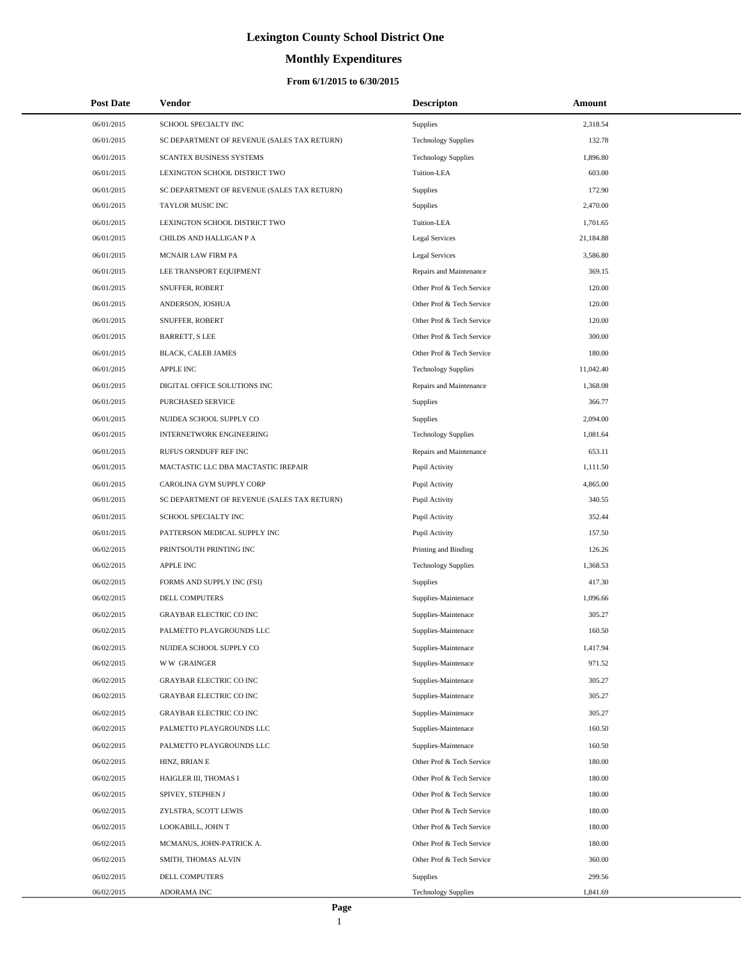# **Monthly Expenditures**

| <b>Post Date</b> | Vendor                                      | <b>Descripton</b>          | Amount    |
|------------------|---------------------------------------------|----------------------------|-----------|
| 06/01/2015       | SCHOOL SPECIALTY INC                        | Supplies                   | 2,318.54  |
| 06/01/2015       | SC DEPARTMENT OF REVENUE (SALES TAX RETURN) | <b>Technology Supplies</b> | 132.78    |
| 06/01/2015       | SCANTEX BUSINESS SYSTEMS                    | <b>Technology Supplies</b> | 1,896.80  |
| 06/01/2015       | LEXINGTON SCHOOL DISTRICT TWO               | Tuition-LEA                | 603.00    |
| 06/01/2015       | SC DEPARTMENT OF REVENUE (SALES TAX RETURN) | Supplies                   | 172.90    |
| 06/01/2015       | TAYLOR MUSIC INC                            | Supplies                   | 2,470.00  |
| 06/01/2015       | LEXINGTON SCHOOL DISTRICT TWO               | Tuition-LEA                | 1,701.65  |
| 06/01/2015       | CHILDS AND HALLIGAN P A                     | Legal Services             | 21,184.88 |
| 06/01/2015       | MCNAIR LAW FIRM PA                          | Legal Services             | 3,586.80  |
| 06/01/2015       | LEE TRANSPORT EQUIPMENT                     | Repairs and Maintenance    | 369.15    |
| 06/01/2015       | SNUFFER, ROBERT                             | Other Prof & Tech Service  | 120.00    |
| 06/01/2015       | ANDERSON, JOSHUA                            | Other Prof & Tech Service  | 120.00    |
| 06/01/2015       | SNUFFER, ROBERT                             | Other Prof & Tech Service  | 120.00    |
| 06/01/2015       | <b>BARRETT, S LEE</b>                       | Other Prof & Tech Service  | 300.00    |
| 06/01/2015       | BLACK, CALEB JAMES                          | Other Prof & Tech Service  | 180.00    |
| 06/01/2015       | <b>APPLE INC</b>                            | <b>Technology Supplies</b> | 11,042.40 |
| 06/01/2015       | DIGITAL OFFICE SOLUTIONS INC                | Repairs and Maintenance    | 1,368.08  |
| 06/01/2015       | PURCHASED SERVICE                           | Supplies                   | 366.77    |
| 06/01/2015       | NUIDEA SCHOOL SUPPLY CO                     | Supplies                   | 2,094.00  |
| 06/01/2015       | <b>INTERNETWORK ENGINEERING</b>             | <b>Technology Supplies</b> | 1,081.64  |
| 06/01/2015       | RUFUS ORNDUFF REF INC                       | Repairs and Maintenance    | 653.11    |
| 06/01/2015       | MACTASTIC LLC DBA MACTASTIC IREPAIR         | Pupil Activity             | 1,111.50  |
| 06/01/2015       | CAROLINA GYM SUPPLY CORP                    | Pupil Activity             | 4,865.00  |
| 06/01/2015       | SC DEPARTMENT OF REVENUE (SALES TAX RETURN) | Pupil Activity             | 340.55    |
| 06/01/2015       | SCHOOL SPECIALTY INC                        | Pupil Activity             | 352.44    |
| 06/01/2015       | PATTERSON MEDICAL SUPPLY INC                | Pupil Activity             | 157.50    |
| 06/02/2015       | PRINTSOUTH PRINTING INC                     | Printing and Binding       | 126.26    |
| 06/02/2015       | <b>APPLE INC</b>                            | <b>Technology Supplies</b> | 1,368.53  |
| 06/02/2015       | FORMS AND SUPPLY INC (FSI)                  | <b>Supplies</b>            | 417.30    |
| 06/02/2015       | DELL COMPUTERS                              | Supplies-Maintenace        | 1,096.66  |
| 06/02/2015       | <b>GRAYBAR ELECTRIC CO INC</b>              | Supplies-Maintenace        | 305.27    |
| 06/02/2015       | PALMETTO PLAYGROUNDS LLC                    | Supplies-Maintenace        | 160.50    |
| 06/02/2015       | NUIDEA SCHOOL SUPPLY CO                     | Supplies-Maintenace        | 1,417.94  |
| 06/02/2015       | <b>WW GRAINGER</b>                          | Supplies-Maintenace        | 971.52    |
| 06/02/2015       | <b>GRAYBAR ELECTRIC CO INC</b>              | Supplies-Maintenace        | 305.27    |
| 06/02/2015       | <b>GRAYBAR ELECTRIC CO INC</b>              | Supplies-Maintenace        | 305.27    |
| 06/02/2015       | <b>GRAYBAR ELECTRIC CO INC</b>              | Supplies-Maintenace        | 305.27    |
| 06/02/2015       | PALMETTO PLAYGROUNDS LLC                    | Supplies-Maintenace        | 160.50    |
| 06/02/2015       | PALMETTO PLAYGROUNDS LLC                    | Supplies-Maintenace        | 160.50    |
| 06/02/2015       | HINZ, BRIAN E                               | Other Prof & Tech Service  | 180.00    |
| 06/02/2015       | HAIGLER III, THOMAS I                       | Other Prof & Tech Service  | 180.00    |
| 06/02/2015       | SPIVEY, STEPHEN J                           | Other Prof & Tech Service  | 180.00    |
| 06/02/2015       | ZYLSTRA, SCOTT LEWIS                        | Other Prof & Tech Service  | 180.00    |
| 06/02/2015       | LOOKABILL, JOHN T                           | Other Prof & Tech Service  | 180.00    |
| 06/02/2015       | MCMANUS, JOHN-PATRICK A.                    | Other Prof & Tech Service  | 180.00    |
| 06/02/2015       | SMITH, THOMAS ALVIN                         | Other Prof & Tech Service  | 360.00    |
| 06/02/2015       | DELL COMPUTERS                              | <b>Supplies</b>            | 299.56    |
| 06/02/2015       | ADORAMA INC                                 | <b>Technology Supplies</b> | 1,841.69  |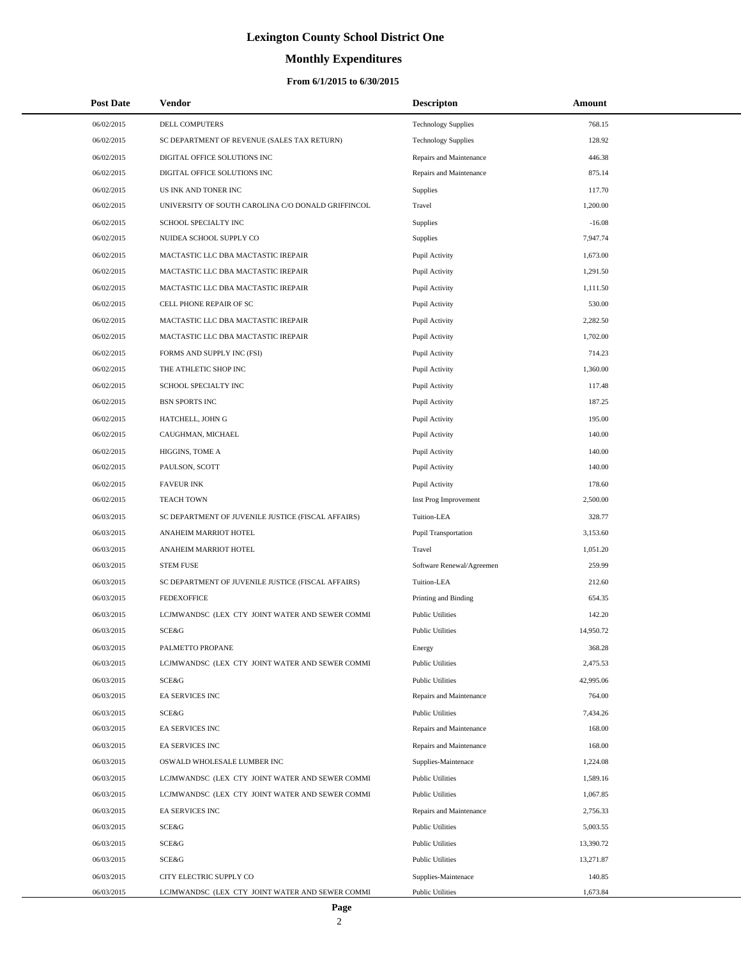# **Monthly Expenditures**

| <b>Post Date</b> | Vendor                                             | <b>Descripton</b>          | Amount    |
|------------------|----------------------------------------------------|----------------------------|-----------|
| 06/02/2015       | DELL COMPUTERS                                     | <b>Technology Supplies</b> | 768.15    |
| 06/02/2015       | SC DEPARTMENT OF REVENUE (SALES TAX RETURN)        | <b>Technology Supplies</b> | 128.92    |
| 06/02/2015       | DIGITAL OFFICE SOLUTIONS INC                       | Repairs and Maintenance    | 446.38    |
| 06/02/2015       | DIGITAL OFFICE SOLUTIONS INC                       | Repairs and Maintenance    | 875.14    |
| 06/02/2015       | US INK AND TONER INC                               | Supplies                   | 117.70    |
| 06/02/2015       | UNIVERSITY OF SOUTH CAROLINA C/O DONALD GRIFFINCOL | Travel                     | 1,200.00  |
| 06/02/2015       | SCHOOL SPECIALTY INC                               | Supplies                   | $-16.08$  |
| 06/02/2015       | NUIDEA SCHOOL SUPPLY CO                            | <b>Supplies</b>            | 7,947.74  |
| 06/02/2015       | MACTASTIC LLC DBA MACTASTIC IREPAIR                | Pupil Activity             | 1,673.00  |
| 06/02/2015       | MACTASTIC LLC DBA MACTASTIC IREPAIR                | Pupil Activity             | 1,291.50  |
| 06/02/2015       | MACTASTIC LLC DBA MACTASTIC IREPAIR                | Pupil Activity             | 1,111.50  |
| 06/02/2015       | CELL PHONE REPAIR OF SC                            | Pupil Activity             | 530.00    |
| 06/02/2015       | MACTASTIC LLC DBA MACTASTIC IREPAIR                | Pupil Activity             | 2,282.50  |
| 06/02/2015       | MACTASTIC LLC DBA MACTASTIC IREPAIR                | Pupil Activity             | 1,702.00  |
| 06/02/2015       | FORMS AND SUPPLY INC (FSI)                         | Pupil Activity             | 714.23    |
| 06/02/2015       | THE ATHLETIC SHOP INC                              | Pupil Activity             | 1,360.00  |
| 06/02/2015       | SCHOOL SPECIALTY INC                               | Pupil Activity             | 117.48    |
| 06/02/2015       | <b>BSN SPORTS INC</b>                              | Pupil Activity             | 187.25    |
| 06/02/2015       | HATCHELL, JOHN G                                   | Pupil Activity             | 195.00    |
| 06/02/2015       | CAUGHMAN, MICHAEL                                  | Pupil Activity             | 140.00    |
| 06/02/2015       | HIGGINS, TOME A                                    | Pupil Activity             | 140.00    |
| 06/02/2015       | PAULSON, SCOTT                                     | Pupil Activity             | 140.00    |
| 06/02/2015       | <b>FAVEUR INK</b>                                  | Pupil Activity             | 178.60    |
| 06/02/2015       | <b>TEACH TOWN</b>                                  | Inst Prog Improvement      | 2,500.00  |
| 06/03/2015       | SC DEPARTMENT OF JUVENILE JUSTICE (FISCAL AFFAIRS) | Tuition-LEA                | 328.77    |
| 06/03/2015       | ANAHEIM MARRIOT HOTEL                              | Pupil Transportation       | 3,153.60  |
| 06/03/2015       | ANAHEIM MARRIOT HOTEL                              | Travel                     | 1,051.20  |
| 06/03/2015       | <b>STEM FUSE</b>                                   | Software Renewal/Agreemen  | 259.99    |
| 06/03/2015       | SC DEPARTMENT OF JUVENILE JUSTICE (FISCAL AFFAIRS) | Tuition-LEA                | 212.60    |
| 06/03/2015       | <b>FEDEXOFFICE</b>                                 | Printing and Binding       | 654.35    |
| 06/03/2015       | LCJMWANDSC (LEX CTY JOINT WATER AND SEWER COMMI    | <b>Public Utilities</b>    | 142.20    |
| 06/03/2015       | SCE&G                                              | <b>Public Utilities</b>    | 14,950.72 |
| 06/03/2015       | PALMETTO PROPANE                                   | Energy                     | 368.28    |
| 06/03/2015       | LCJMWANDSC (LEX CTY JOINT WATER AND SEWER COMMI    | <b>Public Utilities</b>    | 2,475.53  |
| 06/03/2015       | SCE&G                                              | <b>Public Utilities</b>    | 42,995.06 |
| 06/03/2015       | EA SERVICES INC                                    | Repairs and Maintenance    | 764.00    |
| 06/03/2015       | SCE&G                                              | <b>Public Utilities</b>    | 7,434.26  |
| 06/03/2015       | EA SERVICES INC                                    | Repairs and Maintenance    | 168.00    |
| 06/03/2015       | EA SERVICES INC                                    | Repairs and Maintenance    | 168.00    |
| 06/03/2015       | OSWALD WHOLESALE LUMBER INC                        | Supplies-Maintenace        | 1,224.08  |
| 06/03/2015       | LCJMWANDSC (LEX CTY JOINT WATER AND SEWER COMMI    | <b>Public Utilities</b>    | 1,589.16  |
| 06/03/2015       | LCJMWANDSC (LEX CTY JOINT WATER AND SEWER COMMI    | <b>Public Utilities</b>    | 1,067.85  |
| 06/03/2015       | EA SERVICES INC                                    | Repairs and Maintenance    | 2,756.33  |
| 06/03/2015       | SCE&G                                              | <b>Public Utilities</b>    | 5,003.55  |
| 06/03/2015       | SCE&G                                              | <b>Public Utilities</b>    | 13,390.72 |
| 06/03/2015       | SCE&G                                              | <b>Public Utilities</b>    | 13,271.87 |
| 06/03/2015       | CITY ELECTRIC SUPPLY CO                            | Supplies-Maintenace        | 140.85    |
| 06/03/2015       | LCJMWANDSC (LEX CTY JOINT WATER AND SEWER COMMI    | <b>Public Utilities</b>    | 1,673.84  |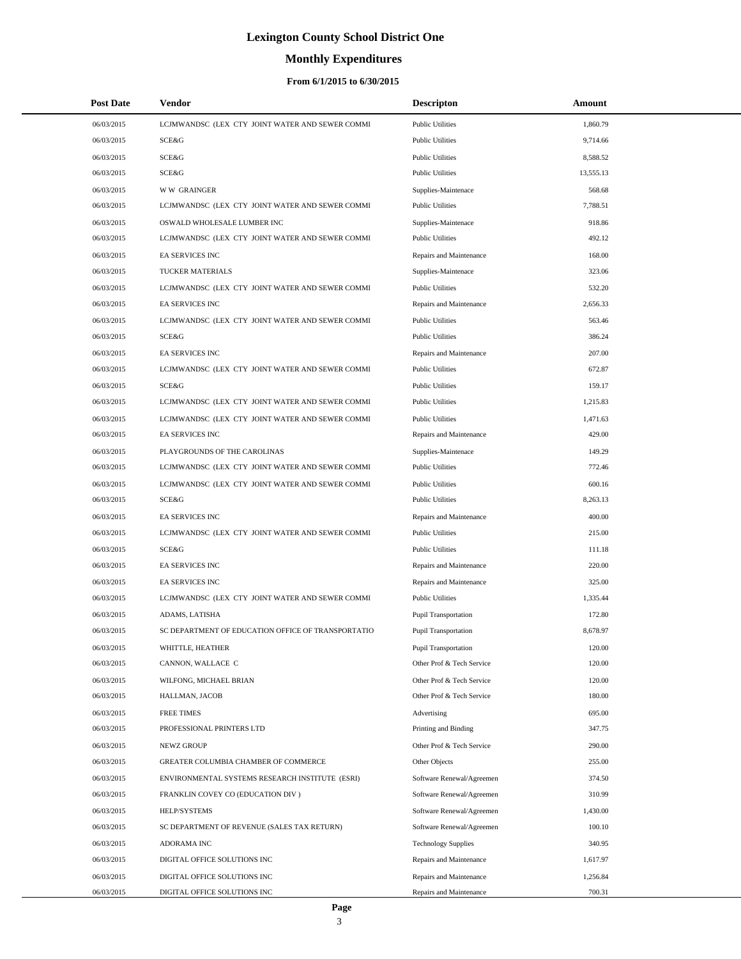# **Monthly Expenditures**

### **From 6/1/2015 to 6/30/2015**

| <b>Post Date</b> | Vendor                                             | <b>Descripton</b>           | Amount    |
|------------------|----------------------------------------------------|-----------------------------|-----------|
| 06/03/2015       | LCJMWANDSC (LEX CTY JOINT WATER AND SEWER COMMI    | <b>Public Utilities</b>     | 1,860.79  |
| 06/03/2015       | SCE&G                                              | <b>Public Utilities</b>     | 9,714.66  |
| 06/03/2015       | SCE&G                                              | <b>Public Utilities</b>     | 8,588.52  |
| 06/03/2015       | SCE&G                                              | <b>Public Utilities</b>     | 13,555.13 |
| 06/03/2015       | <b>WW GRAINGER</b>                                 | Supplies-Maintenace         | 568.68    |
| 06/03/2015       | LCJMWANDSC (LEX CTY JOINT WATER AND SEWER COMMI    | <b>Public Utilities</b>     | 7,788.51  |
| 06/03/2015       | OSWALD WHOLESALE LUMBER INC                        | Supplies-Maintenace         | 918.86    |
| 06/03/2015       | LCJMWANDSC (LEX CTY JOINT WATER AND SEWER COMMI    | <b>Public Utilities</b>     | 492.12    |
| 06/03/2015       | EA SERVICES INC                                    | Repairs and Maintenance     | 168.00    |
| 06/03/2015       | TUCKER MATERIALS                                   | Supplies-Maintenace         | 323.06    |
| 06/03/2015       | LCJMWANDSC (LEX CTY JOINT WATER AND SEWER COMMI    | <b>Public Utilities</b>     | 532.20    |
| 06/03/2015       | EA SERVICES INC                                    | Repairs and Maintenance     | 2,656.33  |
| 06/03/2015       | LCJMWANDSC (LEX CTY JOINT WATER AND SEWER COMMI    | <b>Public Utilities</b>     | 563.46    |
| 06/03/2015       | <b>SCE&amp;G</b>                                   | <b>Public Utilities</b>     | 386.24    |
| 06/03/2015       | EA SERVICES INC                                    | Repairs and Maintenance     | 207.00    |
| 06/03/2015       | LCJMWANDSC (LEX CTY JOINT WATER AND SEWER COMMI    | <b>Public Utilities</b>     | 672.87    |
| 06/03/2015       | SCE&G                                              | <b>Public Utilities</b>     | 159.17    |
| 06/03/2015       | LCJMWANDSC (LEX CTY JOINT WATER AND SEWER COMMI    | <b>Public Utilities</b>     | 1,215.83  |
| 06/03/2015       | LCJMWANDSC (LEX CTY JOINT WATER AND SEWER COMMI    | <b>Public Utilities</b>     | 1,471.63  |
| 06/03/2015       | <b>EA SERVICES INC</b>                             | Repairs and Maintenance     | 429.00    |
| 06/03/2015       | PLAYGROUNDS OF THE CAROLINAS                       | Supplies-Maintenace         | 149.29    |
| 06/03/2015       | LCJMWANDSC (LEX CTY JOINT WATER AND SEWER COMMI    | <b>Public Utilities</b>     | 772.46    |
| 06/03/2015       | LCJMWANDSC (LEX CTY JOINT WATER AND SEWER COMMI    | <b>Public Utilities</b>     | 600.16    |
| 06/03/2015       | SCE&G                                              | <b>Public Utilities</b>     | 8,263.13  |
| 06/03/2015       | EA SERVICES INC                                    | Repairs and Maintenance     | 400.00    |
| 06/03/2015       | LCJMWANDSC (LEX CTY JOINT WATER AND SEWER COMMI    | <b>Public Utilities</b>     | 215.00    |
| 06/03/2015       | SCE&G                                              | <b>Public Utilities</b>     | 111.18    |
| 06/03/2015       | EA SERVICES INC                                    | Repairs and Maintenance     | 220.00    |
| 06/03/2015       | EA SERVICES INC                                    | Repairs and Maintenance     | 325.00    |
| 06/03/2015       | LCJMWANDSC (LEX CTY JOINT WATER AND SEWER COMMI    | <b>Public Utilities</b>     | 1,335.44  |
| 06/03/2015       | ADAMS, LATISHA                                     | Pupil Transportation        | 172.80    |
| 06/03/2015       | SC DEPARTMENT OF EDUCATION OFFICE OF TRANSPORTATIO | <b>Pupil Transportation</b> | 8,678.97  |
| 06/03/2015       | WHITTLE, HEATHER                                   | <b>Pupil Transportation</b> | 120.00    |
| 06/03/2015       | CANNON, WALLACE C                                  | Other Prof & Tech Service   | 120.00    |
| 06/03/2015       | WILFONG, MICHAEL BRIAN                             | Other Prof & Tech Service   | 120.00    |
| 06/03/2015       | HALLMAN, JACOB                                     | Other Prof & Tech Service   | 180.00    |
| 06/03/2015       | <b>FREE TIMES</b>                                  | Advertising                 | 695.00    |
| 06/03/2015       | PROFESSIONAL PRINTERS LTD                          | Printing and Binding        | 347.75    |
| 06/03/2015       | NEWZ GROUP                                         | Other Prof & Tech Service   | 290.00    |
| 06/03/2015       | GREATER COLUMBIA CHAMBER OF COMMERCE               | Other Objects               | 255.00    |
| 06/03/2015       | ENVIRONMENTAL SYSTEMS RESEARCH INSTITUTE (ESRI)    | Software Renewal/Agreemen   | 374.50    |
| 06/03/2015       | FRANKLIN COVEY CO (EDUCATION DIV)                  | Software Renewal/Agreemen   | 310.99    |
| 06/03/2015       | HELP/SYSTEMS                                       | Software Renewal/Agreemen   | 1,430.00  |
| 06/03/2015       | SC DEPARTMENT OF REVENUE (SALES TAX RETURN)        | Software Renewal/Agreemen   | 100.10    |
| 06/03/2015       | ADORAMA INC                                        | <b>Technology Supplies</b>  | 340.95    |
| 06/03/2015       | DIGITAL OFFICE SOLUTIONS INC                       | Repairs and Maintenance     | 1,617.97  |
| 06/03/2015       | DIGITAL OFFICE SOLUTIONS INC                       | Repairs and Maintenance     | 1,256.84  |
| 06/03/2015       | DIGITAL OFFICE SOLUTIONS INC                       | Repairs and Maintenance     | 700.31    |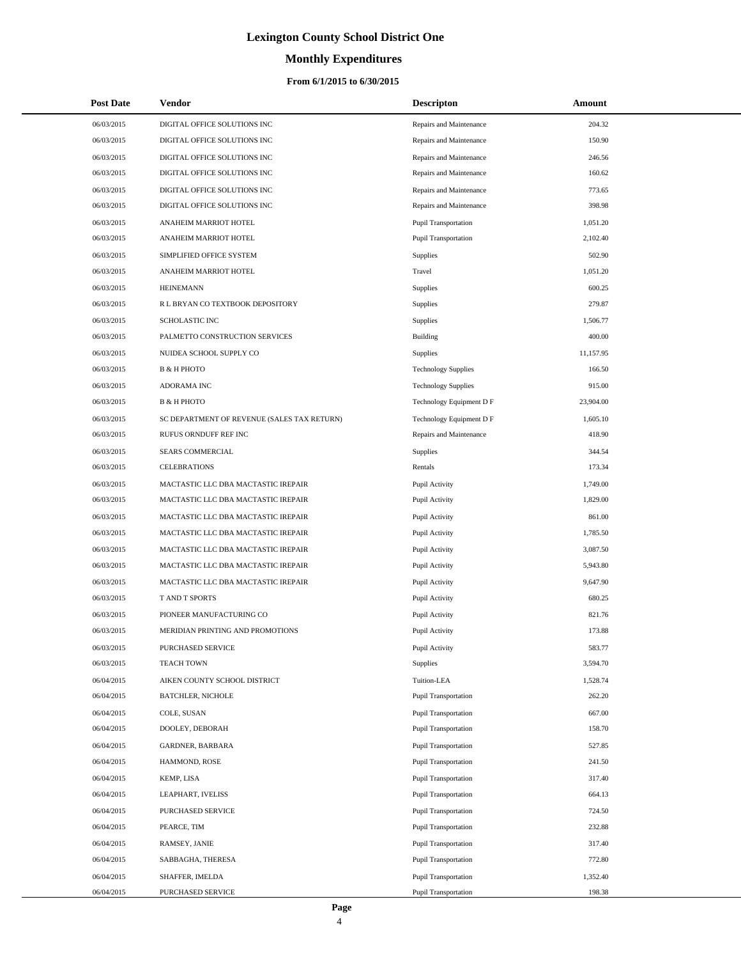# **Monthly Expenditures**

| <b>Post Date</b> | Vendor                                      | <b>Descripton</b>           | <b>Amount</b> |
|------------------|---------------------------------------------|-----------------------------|---------------|
| 06/03/2015       | DIGITAL OFFICE SOLUTIONS INC                | Repairs and Maintenance     | 204.32        |
| 06/03/2015       | DIGITAL OFFICE SOLUTIONS INC                | Repairs and Maintenance     | 150.90        |
| 06/03/2015       | DIGITAL OFFICE SOLUTIONS INC                | Repairs and Maintenance     | 246.56        |
| 06/03/2015       | DIGITAL OFFICE SOLUTIONS INC                | Repairs and Maintenance     | 160.62        |
| 06/03/2015       | DIGITAL OFFICE SOLUTIONS INC                | Repairs and Maintenance     | 773.65        |
| 06/03/2015       | DIGITAL OFFICE SOLUTIONS INC                | Repairs and Maintenance     | 398.98        |
| 06/03/2015       | ANAHEIM MARRIOT HOTEL                       | <b>Pupil Transportation</b> | 1,051.20      |
| 06/03/2015       | ANAHEIM MARRIOT HOTEL                       | <b>Pupil Transportation</b> | 2,102.40      |
| 06/03/2015       | SIMPLIFIED OFFICE SYSTEM                    | <b>Supplies</b>             | 502.90        |
| 06/03/2015       | ANAHEIM MARRIOT HOTEL                       | Travel                      | 1,051.20      |
| 06/03/2015       | <b>HEINEMANN</b>                            | Supplies                    | 600.25        |
| 06/03/2015       | R L BRYAN CO TEXTBOOK DEPOSITORY            | Supplies                    | 279.87        |
| 06/03/2015       | SCHOLASTIC INC                              | <b>Supplies</b>             | 1,506.77      |
| 06/03/2015       | PALMETTO CONSTRUCTION SERVICES              | Building                    | 400.00        |
| 06/03/2015       | NUIDEA SCHOOL SUPPLY CO                     | Supplies                    | 11,157.95     |
| 06/03/2015       | <b>B &amp; H PHOTO</b>                      | <b>Technology Supplies</b>  | 166.50        |
| 06/03/2015       | ADORAMA INC                                 | <b>Technology Supplies</b>  | 915.00        |
| 06/03/2015       | <b>B &amp; H PHOTO</b>                      | Technology Equipment D F    | 23,904.00     |
| 06/03/2015       | SC DEPARTMENT OF REVENUE (SALES TAX RETURN) | Technology Equipment D F    | 1,605.10      |
| 06/03/2015       | RUFUS ORNDUFF REF INC                       | Repairs and Maintenance     | 418.90        |
| 06/03/2015       | SEARS COMMERCIAL                            | <b>Supplies</b>             | 344.54        |
| 06/03/2015       | <b>CELEBRATIONS</b>                         | Rentals                     | 173.34        |
| 06/03/2015       | MACTASTIC LLC DBA MACTASTIC IREPAIR         | Pupil Activity              | 1,749.00      |
| 06/03/2015       | MACTASTIC LLC DBA MACTASTIC IREPAIR         | Pupil Activity              | 1,829.00      |
| 06/03/2015       | MACTASTIC LLC DBA MACTASTIC IREPAIR         | Pupil Activity              | 861.00        |
| 06/03/2015       | MACTASTIC LLC DBA MACTASTIC IREPAIR         | Pupil Activity              | 1,785.50      |
| 06/03/2015       | MACTASTIC LLC DBA MACTASTIC IREPAIR         | Pupil Activity              | 3,087.50      |
| 06/03/2015       | MACTASTIC LLC DBA MACTASTIC IREPAIR         | Pupil Activity              | 5,943.80      |
| 06/03/2015       | MACTASTIC LLC DBA MACTASTIC IREPAIR         | Pupil Activity              | 9,647.90      |
| 06/03/2015       | T AND T SPORTS                              | Pupil Activity              | 680.25        |
| 06/03/2015       | PIONEER MANUFACTURING CO                    | Pupil Activity              | 821.76        |
| 06/03/2015       | MERIDIAN PRINTING AND PROMOTIONS            | Pupil Activity              | 173.88        |
| 06/03/2015       | <b>PURCHASED SERVICE</b>                    | Pupil Activity              | 583.77        |
| 06/03/2015       | <b>TEACH TOWN</b>                           | <b>Supplies</b>             | 3,594.70      |
| 06/04/2015       | AIKEN COUNTY SCHOOL DISTRICT                | Tuition-LEA                 | 1,528.74      |
| 06/04/2015       | <b>BATCHLER, NICHOLE</b>                    | <b>Pupil Transportation</b> | 262.20        |
| 06/04/2015       | COLE, SUSAN                                 | <b>Pupil Transportation</b> | 667.00        |
| 06/04/2015       | DOOLEY, DEBORAH                             | <b>Pupil Transportation</b> | 158.70        |
| 06/04/2015       | GARDNER, BARBARA                            | <b>Pupil Transportation</b> | 527.85        |
| 06/04/2015       | HAMMOND, ROSE                               | <b>Pupil Transportation</b> | 241.50        |
| 06/04/2015       | KEMP, LISA                                  | <b>Pupil Transportation</b> | 317.40        |
| 06/04/2015       | LEAPHART, IVELISS                           | <b>Pupil Transportation</b> | 664.13        |
| 06/04/2015       | PURCHASED SERVICE                           | <b>Pupil Transportation</b> | 724.50        |
| 06/04/2015       | PEARCE, TIM                                 | <b>Pupil Transportation</b> | 232.88        |
| 06/04/2015       | RAMSEY, JANIE                               | <b>Pupil Transportation</b> | 317.40        |
| 06/04/2015       | SABBAGHA, THERESA                           | <b>Pupil Transportation</b> | 772.80        |
| 06/04/2015       | SHAFFER, IMELDA                             | <b>Pupil Transportation</b> | 1,352.40      |
| 06/04/2015       | PURCHASED SERVICE                           | <b>Pupil Transportation</b> | 198.38        |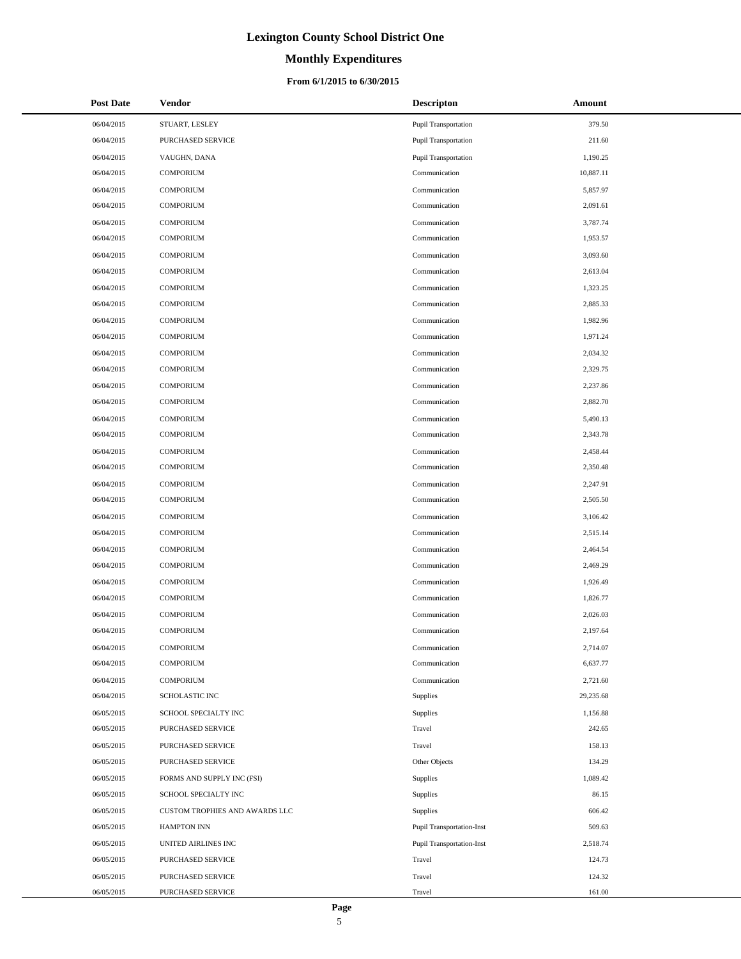# **Monthly Expenditures**

### **From 6/1/2015 to 6/30/2015**

| <b>Post Date</b> | <b>Vendor</b>                  | <b>Descripton</b>         | Amount    |
|------------------|--------------------------------|---------------------------|-----------|
| 06/04/2015       | STUART, LESLEY                 | Pupil Transportation      | 379.50    |
| 06/04/2015       | PURCHASED SERVICE              | Pupil Transportation      | 211.60    |
| 06/04/2015       | VAUGHN, DANA                   | Pupil Transportation      | 1,190.25  |
| 06/04/2015       | <b>COMPORIUM</b>               | Communication             | 10,887.11 |
| 06/04/2015       | <b>COMPORIUM</b>               | Communication             | 5,857.97  |
| 06/04/2015       | <b>COMPORIUM</b>               | Communication             | 2,091.61  |
| 06/04/2015       | <b>COMPORIUM</b>               | Communication             | 3,787.74  |
| 06/04/2015       | <b>COMPORIUM</b>               | Communication             | 1,953.57  |
| 06/04/2015       | <b>COMPORIUM</b>               | Communication             | 3,093.60  |
| 06/04/2015       | <b>COMPORIUM</b>               | Communication             | 2,613.04  |
| 06/04/2015       | <b>COMPORIUM</b>               | Communication             | 1,323.25  |
| 06/04/2015       | <b>COMPORIUM</b>               | Communication             | 2,885.33  |
| 06/04/2015       | <b>COMPORIUM</b>               | Communication             | 1,982.96  |
| 06/04/2015       | <b>COMPORIUM</b>               | Communication             | 1,971.24  |
| 06/04/2015       | <b>COMPORIUM</b>               | Communication             | 2,034.32  |
| 06/04/2015       | <b>COMPORIUM</b>               | Communication             | 2,329.75  |
| 06/04/2015       | <b>COMPORIUM</b>               | Communication             | 2,237.86  |
| 06/04/2015       | <b>COMPORIUM</b>               | Communication             | 2,882.70  |
| 06/04/2015       | <b>COMPORIUM</b>               | Communication             | 5,490.13  |
| 06/04/2015       | <b>COMPORIUM</b>               | Communication             | 2,343.78  |
| 06/04/2015       | <b>COMPORIUM</b>               | Communication             | 2,458.44  |
| 06/04/2015       | <b>COMPORIUM</b>               | Communication             | 2,350.48  |
| 06/04/2015       | <b>COMPORIUM</b>               | Communication             | 2,247.91  |
| 06/04/2015       | <b>COMPORIUM</b>               | Communication             | 2,505.50  |
| 06/04/2015       | <b>COMPORIUM</b>               | Communication             | 3,106.42  |
| 06/04/2015       | <b>COMPORIUM</b>               | Communication             | 2,515.14  |
| 06/04/2015       | <b>COMPORIUM</b>               | Communication             | 2,464.54  |
| 06/04/2015       | <b>COMPORIUM</b>               | Communication             | 2,469.29  |
| 06/04/2015       | <b>COMPORIUM</b>               | Communication             | 1,926.49  |
| 06/04/2015       | <b>COMPORIUM</b>               | Communication             | 1,826.77  |
| 06/04/2015       | <b>COMPORIUM</b>               | Communication             | 2,026.03  |
| 06/04/2015       | <b>COMPORIUM</b>               | Communication             | 2,197.64  |
| 06/04/2015       | COMPORIUM                      | Communication             | 2,714.07  |
| 06/04/2015       | <b>COMPORIUM</b>               | Communication             | 6,637.77  |
| 06/04/2015       | <b>COMPORIUM</b>               | Communication             | 2,721.60  |
| 06/04/2015       | SCHOLASTIC INC                 | Supplies                  | 29,235.68 |
| 06/05/2015       | SCHOOL SPECIALTY INC           | Supplies                  | 1,156.88  |
| 06/05/2015       | PURCHASED SERVICE              | Travel                    | 242.65    |
| 06/05/2015       | PURCHASED SERVICE              | Travel                    | 158.13    |
| 06/05/2015       | PURCHASED SERVICE              | Other Objects             | 134.29    |
| 06/05/2015       | FORMS AND SUPPLY INC (FSI)     | <b>Supplies</b>           | 1,089.42  |
| 06/05/2015       | SCHOOL SPECIALTY INC           | <b>Supplies</b>           | 86.15     |
| 06/05/2015       | CUSTOM TROPHIES AND AWARDS LLC | Supplies                  | 606.42    |
| 06/05/2015       | <b>HAMPTON INN</b>             | Pupil Transportation-Inst | 509.63    |
| 06/05/2015       | UNITED AIRLINES INC            | Pupil Transportation-Inst | 2,518.74  |
| 06/05/2015       | PURCHASED SERVICE              | Travel                    | 124.73    |
| 06/05/2015       | PURCHASED SERVICE              | Travel                    | 124.32    |
| 06/05/2015       | PURCHASED SERVICE              | Travel                    | 161.00    |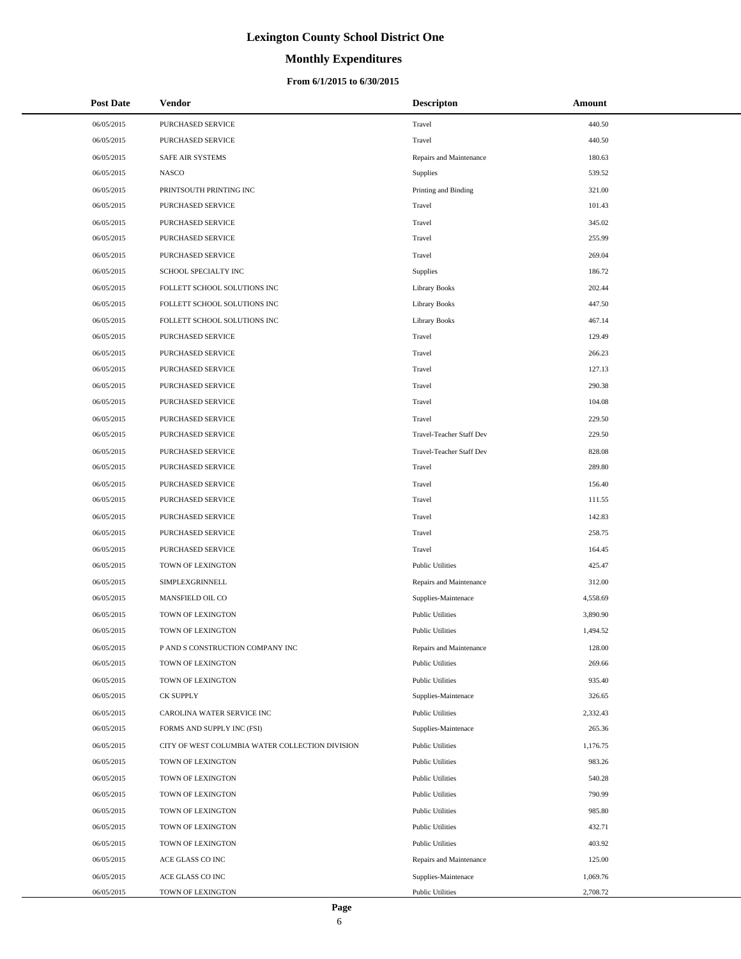# **Monthly Expenditures**

### **From 6/1/2015 to 6/30/2015**

| <b>Post Date</b> | <b>Vendor</b>                                   | <b>Descripton</b>        | Amount   |
|------------------|-------------------------------------------------|--------------------------|----------|
| 06/05/2015       | PURCHASED SERVICE                               | Travel                   | 440.50   |
| 06/05/2015       | PURCHASED SERVICE                               | Travel                   | 440.50   |
| 06/05/2015       | SAFE AIR SYSTEMS                                | Repairs and Maintenance  | 180.63   |
| 06/05/2015       | <b>NASCO</b>                                    | <b>Supplies</b>          | 539.52   |
| 06/05/2015       | PRINTSOUTH PRINTING INC                         | Printing and Binding     | 321.00   |
| 06/05/2015       | PURCHASED SERVICE                               | Travel                   | 101.43   |
| 06/05/2015       | PURCHASED SERVICE                               | Travel                   | 345.02   |
| 06/05/2015       | PURCHASED SERVICE                               | Travel                   | 255.99   |
| 06/05/2015       | PURCHASED SERVICE                               | Travel                   | 269.04   |
| 06/05/2015       | SCHOOL SPECIALTY INC                            | <b>Supplies</b>          | 186.72   |
| 06/05/2015       | FOLLETT SCHOOL SOLUTIONS INC                    | <b>Library Books</b>     | 202.44   |
| 06/05/2015       | FOLLETT SCHOOL SOLUTIONS INC                    | Library Books            | 447.50   |
| 06/05/2015       | FOLLETT SCHOOL SOLUTIONS INC                    | Library Books            | 467.14   |
| 06/05/2015       | PURCHASED SERVICE                               | Travel                   | 129.49   |
| 06/05/2015       | PURCHASED SERVICE                               | Travel                   | 266.23   |
| 06/05/2015       | PURCHASED SERVICE                               | Travel                   | 127.13   |
| 06/05/2015       | PURCHASED SERVICE                               | Travel                   | 290.38   |
| 06/05/2015       | PURCHASED SERVICE                               | Travel                   | 104.08   |
| 06/05/2015       | PURCHASED SERVICE                               | Travel                   | 229.50   |
| 06/05/2015       | PURCHASED SERVICE                               | Travel-Teacher Staff Dev | 229.50   |
| 06/05/2015       | PURCHASED SERVICE                               | Travel-Teacher Staff Dev | 828.08   |
| 06/05/2015       | PURCHASED SERVICE                               | Travel                   | 289.80   |
| 06/05/2015       | PURCHASED SERVICE                               | Travel                   | 156.40   |
| 06/05/2015       | PURCHASED SERVICE                               | Travel                   | 111.55   |
| 06/05/2015       | PURCHASED SERVICE                               | Travel                   | 142.83   |
| 06/05/2015       | PURCHASED SERVICE                               | Travel                   | 258.75   |
| 06/05/2015       | PURCHASED SERVICE                               | Travel                   | 164.45   |
| 06/05/2015       | TOWN OF LEXINGTON                               | <b>Public Utilities</b>  | 425.47   |
| 06/05/2015       | SIMPLEXGRINNELL                                 | Repairs and Maintenance  | 312.00   |
| 06/05/2015       | MANSFIELD OIL CO                                | Supplies-Maintenace      | 4,558.69 |
| 06/05/2015       | TOWN OF LEXINGTON                               | <b>Public Utilities</b>  | 3,890.90 |
| 06/05/2015       | TOWN OF LEXINGTON                               | <b>Public Utilities</b>  | 1,494.52 |
| 06/05/2015       | P AND S CONSTRUCTION COMPANY INC                | Repairs and Maintenance  | 128.00   |
| 06/05/2015       | TOWN OF LEXINGTON                               | <b>Public Utilities</b>  | 269.66   |
| 06/05/2015       | TOWN OF LEXINGTON                               | <b>Public Utilities</b>  | 935.40   |
| 06/05/2015       | CK SUPPLY                                       | Supplies-Maintenace      | 326.65   |
| 06/05/2015       | CAROLINA WATER SERVICE INC                      | <b>Public Utilities</b>  | 2,332.43 |
| 06/05/2015       | FORMS AND SUPPLY INC (FSI)                      | Supplies-Maintenace      | 265.36   |
| 06/05/2015       | CITY OF WEST COLUMBIA WATER COLLECTION DIVISION | <b>Public Utilities</b>  | 1,176.75 |
| 06/05/2015       | TOWN OF LEXINGTON                               | <b>Public Utilities</b>  | 983.26   |
| 06/05/2015       | TOWN OF LEXINGTON                               | <b>Public Utilities</b>  | 540.28   |
| 06/05/2015       | TOWN OF LEXINGTON                               | <b>Public Utilities</b>  | 790.99   |
| 06/05/2015       | TOWN OF LEXINGTON                               | <b>Public Utilities</b>  | 985.80   |
| 06/05/2015       | TOWN OF LEXINGTON                               | <b>Public Utilities</b>  | 432.71   |
| 06/05/2015       | TOWN OF LEXINGTON                               | <b>Public Utilities</b>  | 403.92   |
| 06/05/2015       | ACE GLASS CO INC                                | Repairs and Maintenance  | 125.00   |
| 06/05/2015       | ACE GLASS CO INC                                | Supplies-Maintenace      | 1,069.76 |
| 06/05/2015       | TOWN OF LEXINGTON                               | <b>Public Utilities</b>  | 2,708.72 |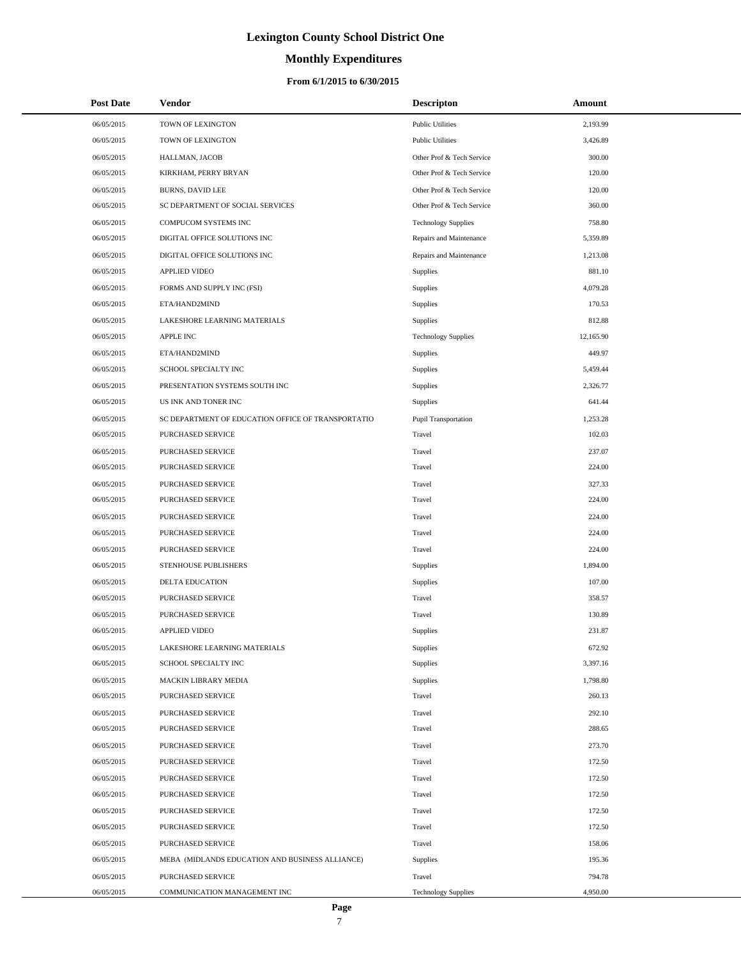# **Monthly Expenditures**

### **From 6/1/2015 to 6/30/2015**

| <b>Post Date</b> | <b>Vendor</b>                                      | <b>Descripton</b>          | Amount    |  |
|------------------|----------------------------------------------------|----------------------------|-----------|--|
| 06/05/2015       | TOWN OF LEXINGTON                                  | <b>Public Utilities</b>    | 2,193.99  |  |
| 06/05/2015       | TOWN OF LEXINGTON                                  | <b>Public Utilities</b>    | 3,426.89  |  |
| 06/05/2015       | HALLMAN, JACOB                                     | Other Prof & Tech Service  | 300.00    |  |
| 06/05/2015       | KIRKHAM, PERRY BRYAN                               | Other Prof & Tech Service  | 120.00    |  |
| 06/05/2015       | <b>BURNS, DAVID LEE</b>                            | Other Prof & Tech Service  | 120.00    |  |
| 06/05/2015       | SC DEPARTMENT OF SOCIAL SERVICES                   | Other Prof & Tech Service  | 360.00    |  |
| 06/05/2015       | COMPUCOM SYSTEMS INC                               | <b>Technology Supplies</b> | 758.80    |  |
| 06/05/2015       | DIGITAL OFFICE SOLUTIONS INC                       | Repairs and Maintenance    | 5,359.89  |  |
| 06/05/2015       | DIGITAL OFFICE SOLUTIONS INC                       | Repairs and Maintenance    | 1,213.08  |  |
| 06/05/2015       | <b>APPLIED VIDEO</b>                               | Supplies                   | 881.10    |  |
| 06/05/2015       | FORMS AND SUPPLY INC (FSI)                         | Supplies                   | 4,079.28  |  |
| 06/05/2015       | ETA/HAND2MIND                                      | Supplies                   | 170.53    |  |
| 06/05/2015       | LAKESHORE LEARNING MATERIALS                       | Supplies                   | 812.88    |  |
| 06/05/2015       | <b>APPLE INC</b>                                   | <b>Technology Supplies</b> | 12,165.90 |  |
| 06/05/2015       | ETA/HAND2MIND                                      | <b>Supplies</b>            | 449.97    |  |
| 06/05/2015       | SCHOOL SPECIALTY INC                               | Supplies                   | 5,459.44  |  |
| 06/05/2015       | PRESENTATION SYSTEMS SOUTH INC                     | Supplies                   | 2,326.77  |  |
| 06/05/2015       | US INK AND TONER INC                               | Supplies                   | 641.44    |  |
| 06/05/2015       | SC DEPARTMENT OF EDUCATION OFFICE OF TRANSPORTATIO | Pupil Transportation       | 1,253.28  |  |
| 06/05/2015       | <b>PURCHASED SERVICE</b>                           | Travel                     | 102.03    |  |
| 06/05/2015       | PURCHASED SERVICE                                  | Travel                     | 237.07    |  |
| 06/05/2015       | PURCHASED SERVICE                                  | Travel                     | 224.00    |  |
| 06/05/2015       | PURCHASED SERVICE                                  | Travel                     | 327.33    |  |
| 06/05/2015       | PURCHASED SERVICE                                  | Travel                     | 224.00    |  |
| 06/05/2015       | PURCHASED SERVICE                                  | Travel                     | 224.00    |  |
| 06/05/2015       | PURCHASED SERVICE                                  | Travel                     | 224.00    |  |
| 06/05/2015       | PURCHASED SERVICE                                  | Travel                     | 224.00    |  |
| 06/05/2015       | STENHOUSE PUBLISHERS                               | Supplies                   | 1,894.00  |  |
| 06/05/2015       | <b>DELTA EDUCATION</b>                             | Supplies                   | 107.00    |  |
| 06/05/2015       | PURCHASED SERVICE                                  | Travel                     | 358.57    |  |
| 06/05/2015       | PURCHASED SERVICE                                  | Travel                     | 130.89    |  |
| 06/05/2015       | <b>APPLIED VIDEO</b>                               | Supplies                   | 231.87    |  |
| 06/05/2015       | LAKESHORE LEARNING MATERIALS                       | Supplies                   | 672.92    |  |
| 06/05/2015       | SCHOOL SPECIALTY INC                               | Supplies                   | 3,397.16  |  |
| 06/05/2015       | <b>MACKIN LIBRARY MEDIA</b>                        | Supplies                   | 1,798.80  |  |
| 06/05/2015       | PURCHASED SERVICE                                  | Travel                     | 260.13    |  |
| 06/05/2015       | PURCHASED SERVICE                                  | Travel                     | 292.10    |  |
| 06/05/2015       | PURCHASED SERVICE                                  | Travel                     | 288.65    |  |
| 06/05/2015       | PURCHASED SERVICE                                  | Travel                     | 273.70    |  |
| 06/05/2015       | PURCHASED SERVICE                                  | Travel                     | 172.50    |  |
| 06/05/2015       | PURCHASED SERVICE                                  | Travel                     | 172.50    |  |
| 06/05/2015       | PURCHASED SERVICE                                  | Travel                     | 172.50    |  |
| 06/05/2015       | PURCHASED SERVICE                                  | Travel                     | 172.50    |  |
| 06/05/2015       | PURCHASED SERVICE                                  | Travel                     | 172.50    |  |
| 06/05/2015       | PURCHASED SERVICE                                  | Travel                     | 158.06    |  |
| 06/05/2015       | MEBA (MIDLANDS EDUCATION AND BUSINESS ALLIANCE)    | Supplies                   | 195.36    |  |
| 06/05/2015       | PURCHASED SERVICE                                  | Travel                     | 794.78    |  |
| 06/05/2015       | COMMUNICATION MANAGEMENT INC                       | <b>Technology Supplies</b> | 4,950.00  |  |

 $\overline{a}$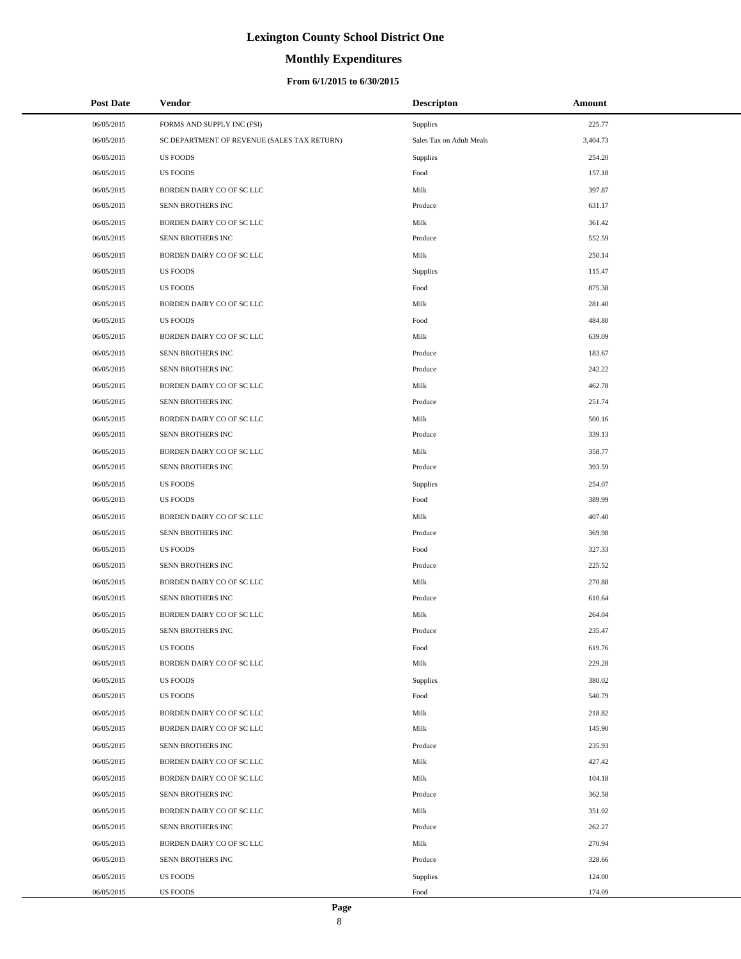# **Monthly Expenditures**

### **From 6/1/2015 to 6/30/2015**

| <b>Post Date</b> | Vendor                                      | <b>Descripton</b>        | Amount   |
|------------------|---------------------------------------------|--------------------------|----------|
| 06/05/2015       | FORMS AND SUPPLY INC (FSI)                  | Supplies                 | 225.77   |
| 06/05/2015       | SC DEPARTMENT OF REVENUE (SALES TAX RETURN) | Sales Tax on Adult Meals | 3,404.73 |
| 06/05/2015       | <b>US FOODS</b>                             | Supplies                 | 254.20   |
| 06/05/2015       | <b>US FOODS</b>                             | Food                     | 157.18   |
| 06/05/2015       | BORDEN DAIRY CO OF SC LLC                   | Milk                     | 397.87   |
| 06/05/2015       | SENN BROTHERS INC                           | Produce                  | 631.17   |
| 06/05/2015       | BORDEN DAIRY CO OF SC LLC                   | Milk                     | 361.42   |
| 06/05/2015       | SENN BROTHERS INC                           | Produce                  | 552.59   |
| 06/05/2015       | BORDEN DAIRY CO OF SC LLC                   | Milk                     | 250.14   |
| 06/05/2015       | <b>US FOODS</b>                             | Supplies                 | 115.47   |
| 06/05/2015       | <b>US FOODS</b>                             | Food                     | 875.38   |
| 06/05/2015       | BORDEN DAIRY CO OF SC LLC                   | Milk                     | 281.40   |
| 06/05/2015       | <b>US FOODS</b>                             | Food                     | 484.80   |
| 06/05/2015       | BORDEN DAIRY CO OF SC LLC                   | Milk                     | 639.09   |
| 06/05/2015       | SENN BROTHERS INC                           | Produce                  | 183.67   |
| 06/05/2015       | SENN BROTHERS INC                           | Produce                  | 242.22   |
| 06/05/2015       | BORDEN DAIRY CO OF SC LLC                   | Milk                     | 462.78   |
| 06/05/2015       | SENN BROTHERS INC                           | Produce                  | 251.74   |
| 06/05/2015       | BORDEN DAIRY CO OF SC LLC                   | Milk                     | 500.16   |
| 06/05/2015       | SENN BROTHERS INC                           | Produce                  | 339.13   |
| 06/05/2015       | BORDEN DAIRY CO OF SC LLC                   | Milk                     | 358.77   |
| 06/05/2015       | SENN BROTHERS INC                           | Produce                  | 393.59   |
| 06/05/2015       | <b>US FOODS</b>                             | Supplies                 | 254.07   |
| 06/05/2015       | <b>US FOODS</b>                             | Food                     | 389.99   |
| 06/05/2015       | BORDEN DAIRY CO OF SC LLC                   | Milk                     | 407.40   |
| 06/05/2015       | SENN BROTHERS INC                           | Produce                  | 369.98   |
| 06/05/2015       | <b>US FOODS</b>                             | Food                     | 327.33   |
| 06/05/2015       | SENN BROTHERS INC                           | Produce                  | 225.52   |
| 06/05/2015       | BORDEN DAIRY CO OF SC LLC                   | Milk                     | 270.88   |
| 06/05/2015       | SENN BROTHERS INC                           | Produce                  | 610.64   |
| 06/05/2015       | BORDEN DAIRY CO OF SC LLC                   | Milk                     | 264.04   |
| 06/05/2015       | SENN BROTHERS INC                           | Produce                  | 235.47   |
| 06/05/2015       | US FOODS                                    | Food                     | 619.76   |
| 06/05/2015       | BORDEN DAIRY CO OF SC LLC                   | Milk                     | 229.28   |
| 06/05/2015       | <b>US FOODS</b>                             | Supplies                 | 380.02   |
| 06/05/2015       | <b>US FOODS</b>                             | Food                     | 540.79   |
| 06/05/2015       | BORDEN DAIRY CO OF SC LLC                   | Milk                     | 218.82   |
| 06/05/2015       | BORDEN DAIRY CO OF SC LLC                   | Milk                     | 145.90   |
| 06/05/2015       | SENN BROTHERS INC                           | Produce                  | 235.93   |
| 06/05/2015       | BORDEN DAIRY CO OF SC LLC                   | Milk                     | 427.42   |
| 06/05/2015       | BORDEN DAIRY CO OF SC LLC                   | Milk                     | 104.18   |
| 06/05/2015       | SENN BROTHERS INC                           | Produce                  | 362.58   |
| 06/05/2015       | BORDEN DAIRY CO OF SC LLC                   | Milk                     | 351.02   |
| 06/05/2015       | SENN BROTHERS INC                           | Produce                  | 262.27   |
| 06/05/2015       | BORDEN DAIRY CO OF SC LLC                   | Milk                     | 270.94   |
| 06/05/2015       | SENN BROTHERS INC                           | Produce                  | 328.66   |
| 06/05/2015       | <b>US FOODS</b>                             | Supplies                 | 124.00   |
| 06/05/2015       | US FOODS                                    | Food                     | 174.09   |

 $\overline{a}$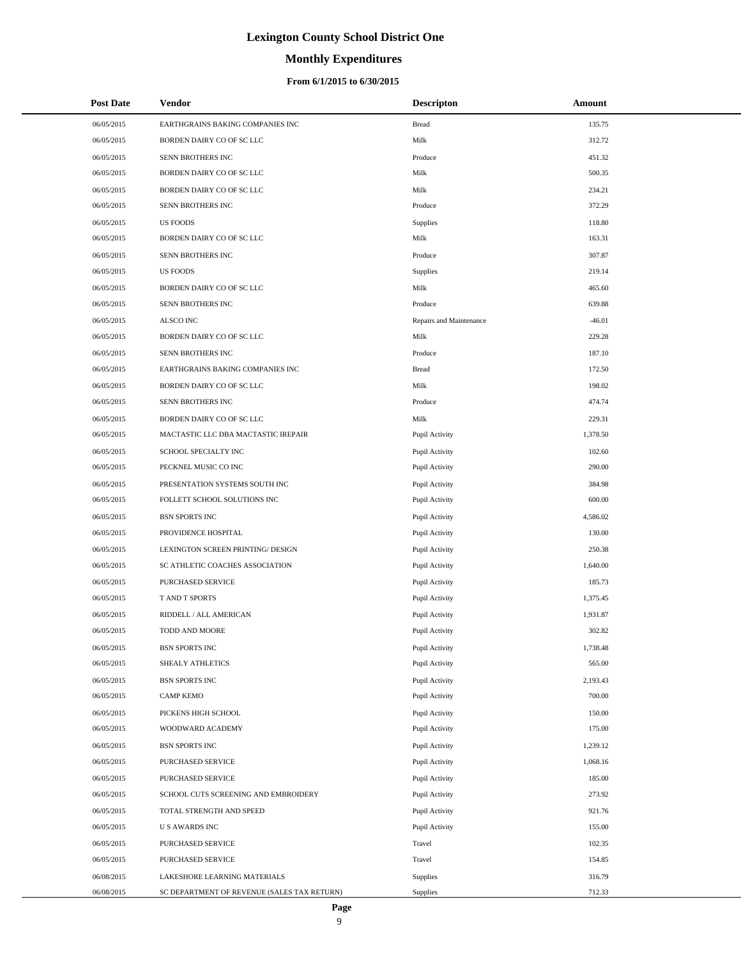# **Monthly Expenditures**

### **From 6/1/2015 to 6/30/2015**

| Post Date  | <b>Vendor</b>                               | <b>Descripton</b>       | Amount   |
|------------|---------------------------------------------|-------------------------|----------|
| 06/05/2015 | EARTHGRAINS BAKING COMPANIES INC            | <b>Bread</b>            | 135.75   |
| 06/05/2015 | BORDEN DAIRY CO OF SC LLC                   | Milk                    | 312.72   |
| 06/05/2015 | SENN BROTHERS INC                           | Produce                 | 451.32   |
| 06/05/2015 | BORDEN DAIRY CO OF SC LLC                   | Milk                    | 500.35   |
| 06/05/2015 | BORDEN DAIRY CO OF SC LLC                   | Milk                    | 234.21   |
| 06/05/2015 | SENN BROTHERS INC                           | Produce                 | 372.29   |
| 06/05/2015 | <b>US FOODS</b>                             | Supplies                | 118.80   |
| 06/05/2015 | BORDEN DAIRY CO OF SC LLC                   | Milk                    | 163.31   |
| 06/05/2015 | SENN BROTHERS INC                           | Produce                 | 307.87   |
| 06/05/2015 | <b>US FOODS</b>                             | Supplies                | 219.14   |
| 06/05/2015 | BORDEN DAIRY CO OF SC LLC                   | Milk                    | 465.60   |
| 06/05/2015 | SENN BROTHERS INC                           | Produce                 | 639.88   |
| 06/05/2015 | ALSCO INC                                   | Repairs and Maintenance | $-46.01$ |
| 06/05/2015 | BORDEN DAIRY CO OF SC LLC                   | Milk                    | 229.28   |
| 06/05/2015 | SENN BROTHERS INC                           | Produce                 | 187.10   |
| 06/05/2015 | EARTHGRAINS BAKING COMPANIES INC            | <b>Bread</b>            | 172.50   |
| 06/05/2015 | BORDEN DAIRY CO OF SC LLC                   | Milk                    | 198.02   |
| 06/05/2015 | SENN BROTHERS INC                           | Produce                 | 474.74   |
| 06/05/2015 | BORDEN DAIRY CO OF SC LLC                   | Milk                    | 229.31   |
| 06/05/2015 | MACTASTIC LLC DBA MACTASTIC IREPAIR         | Pupil Activity          | 1,378.50 |
| 06/05/2015 | SCHOOL SPECIALTY INC                        | Pupil Activity          | 102.60   |
| 06/05/2015 | PECKNEL MUSIC CO INC                        | Pupil Activity          | 290.00   |
| 06/05/2015 | PRESENTATION SYSTEMS SOUTH INC              | Pupil Activity          | 384.98   |
| 06/05/2015 | FOLLETT SCHOOL SOLUTIONS INC                | Pupil Activity          | 600.00   |
| 06/05/2015 | <b>BSN SPORTS INC</b>                       | Pupil Activity          | 4,586.02 |
| 06/05/2015 | PROVIDENCE HOSPITAL                         | Pupil Activity          | 130.00   |
| 06/05/2015 | LEXINGTON SCREEN PRINTING/ DESIGN           | Pupil Activity          | 250.38   |
| 06/05/2015 | SC ATHLETIC COACHES ASSOCIATION             | Pupil Activity          | 1,640.00 |
| 06/05/2015 | PURCHASED SERVICE                           | Pupil Activity          | 185.73   |
| 06/05/2015 | T AND T SPORTS                              | Pupil Activity          | 1,375.45 |
| 06/05/2015 | RIDDELL / ALL AMERICAN                      | Pupil Activity          | 1,931.87 |
| 06/05/2015 | TODD AND MOORE                              | Pupil Activity          | 302.82   |
| 06/05/2015 | <b>BSN SPORTS INC</b>                       | Pupil Activity          | 1,738.48 |
| 06/05/2015 | SHEALY ATHLETICS                            | Pupil Activity          | 565.00   |
| 06/05/2015 | <b>BSN SPORTS INC</b>                       | Pupil Activity          | 2,193.43 |
| 06/05/2015 | <b>CAMP KEMO</b>                            | Pupil Activity          | 700.00   |
| 06/05/2015 | PICKENS HIGH SCHOOL                         | Pupil Activity          | 150.00   |
| 06/05/2015 | WOODWARD ACADEMY                            | Pupil Activity          | 175.00   |
| 06/05/2015 | BSN SPORTS INC                              | Pupil Activity          | 1,239.12 |
| 06/05/2015 | PURCHASED SERVICE                           | Pupil Activity          | 1,068.16 |
| 06/05/2015 | PURCHASED SERVICE                           | Pupil Activity          | 185.00   |
| 06/05/2015 | SCHOOL CUTS SCREENING AND EMBROIDERY        | Pupil Activity          | 273.92   |
| 06/05/2015 | TOTAL STRENGTH AND SPEED                    | Pupil Activity          | 921.76   |
| 06/05/2015 | <b>US AWARDS INC</b>                        | Pupil Activity          | 155.00   |
| 06/05/2015 | PURCHASED SERVICE                           | Travel                  | 102.35   |
| 06/05/2015 | PURCHASED SERVICE                           | Travel                  | 154.85   |
| 06/08/2015 | LAKESHORE LEARNING MATERIALS                | Supplies                | 316.79   |
| 06/08/2015 | SC DEPARTMENT OF REVENUE (SALES TAX RETURN) | Supplies                | 712.33   |

L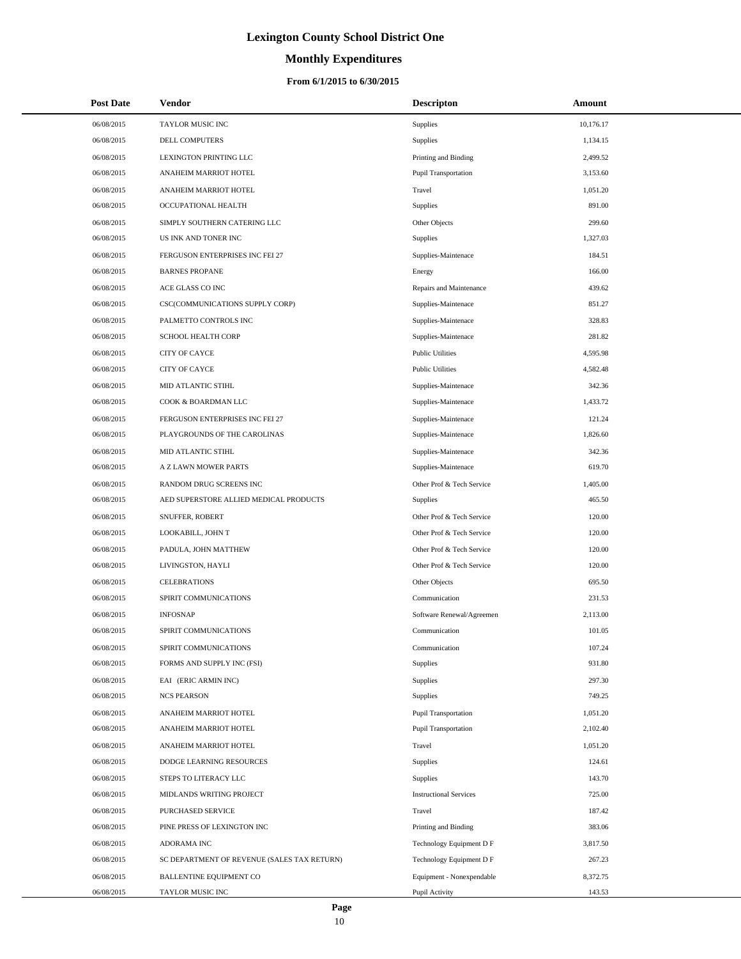# **Monthly Expenditures**

### **From 6/1/2015 to 6/30/2015**

| <b>Post Date</b> | Vendor                                      | <b>Descripton</b>             | Amount    |
|------------------|---------------------------------------------|-------------------------------|-----------|
| 06/08/2015       | TAYLOR MUSIC INC                            | Supplies                      | 10,176.17 |
| 06/08/2015       | DELL COMPUTERS                              | <b>Supplies</b>               | 1,134.15  |
| 06/08/2015       | LEXINGTON PRINTING LLC                      | Printing and Binding          | 2,499.52  |
| 06/08/2015       | ANAHEIM MARRIOT HOTEL                       | Pupil Transportation          | 3,153.60  |
| 06/08/2015       | ANAHEIM MARRIOT HOTEL                       | Travel                        | 1,051.20  |
| 06/08/2015       | OCCUPATIONAL HEALTH                         | <b>Supplies</b>               | 891.00    |
| 06/08/2015       | SIMPLY SOUTHERN CATERING LLC                | Other Objects                 | 299.60    |
| 06/08/2015       | US INK AND TONER INC                        | <b>Supplies</b>               | 1,327.03  |
| 06/08/2015       | FERGUSON ENTERPRISES INC FEI 27             | Supplies-Maintenace           | 184.51    |
| 06/08/2015       | <b>BARNES PROPANE</b>                       | Energy                        | 166.00    |
| 06/08/2015       | ACE GLASS CO INC                            | Repairs and Maintenance       | 439.62    |
| 06/08/2015       | CSC(COMMUNICATIONS SUPPLY CORP)             | Supplies-Maintenace           | 851.27    |
| 06/08/2015       | PALMETTO CONTROLS INC                       | Supplies-Maintenace           | 328.83    |
| 06/08/2015       | SCHOOL HEALTH CORP                          | Supplies-Maintenace           | 281.82    |
| 06/08/2015       | CITY OF CAYCE                               | <b>Public Utilities</b>       | 4,595.98  |
| 06/08/2015       | <b>CITY OF CAYCE</b>                        | <b>Public Utilities</b>       | 4,582.48  |
| 06/08/2015       | MID ATLANTIC STIHL                          | Supplies-Maintenace           | 342.36    |
| 06/08/2015       | COOK & BOARDMAN LLC                         | Supplies-Maintenace           | 1,433.72  |
| 06/08/2015       | FERGUSON ENTERPRISES INC FEI 27             | Supplies-Maintenace           | 121.24    |
| 06/08/2015       | PLAYGROUNDS OF THE CAROLINAS                | Supplies-Maintenace           | 1,826.60  |
| 06/08/2015       | MID ATLANTIC STIHL                          | Supplies-Maintenace           | 342.36    |
| 06/08/2015       | A Z LAWN MOWER PARTS                        | Supplies-Maintenace           | 619.70    |
| 06/08/2015       | RANDOM DRUG SCREENS INC                     | Other Prof & Tech Service     | 1,405.00  |
| 06/08/2015       | AED SUPERSTORE ALLIED MEDICAL PRODUCTS      | Supplies                      | 465.50    |
| 06/08/2015       | SNUFFER, ROBERT                             | Other Prof & Tech Service     | 120.00    |
| 06/08/2015       | LOOKABILL, JOHN T                           | Other Prof & Tech Service     | 120.00    |
| 06/08/2015       | PADULA, JOHN MATTHEW                        | Other Prof & Tech Service     | 120.00    |
| 06/08/2015       | LIVINGSTON, HAYLI                           | Other Prof & Tech Service     | 120.00    |
| 06/08/2015       | <b>CELEBRATIONS</b>                         | Other Objects                 | 695.50    |
| 06/08/2015       | SPIRIT COMMUNICATIONS                       | Communication                 | 231.53    |
| 06/08/2015       | <b>INFOSNAP</b>                             | Software Renewal/Agreemen     | 2,113.00  |
| 06/08/2015       | SPIRIT COMMUNICATIONS                       | Communication                 | 101.05    |
| 06/08/2015       | SPIRIT COMMUNICATIONS                       | Communication                 | 107.24    |
| 06/08/2015       | FORMS AND SUPPLY INC (FSI)                  | <b>Supplies</b>               | 931.80    |
| 06/08/2015       | EAI (ERIC ARMIN INC)                        | Supplies                      | 297.30    |
| 06/08/2015       | <b>NCS PEARSON</b>                          | <b>Supplies</b>               | 749.25    |
| 06/08/2015       | ANAHEIM MARRIOT HOTEL                       | Pupil Transportation          | 1,051.20  |
| 06/08/2015       | ANAHEIM MARRIOT HOTEL                       | Pupil Transportation          | 2,102.40  |
| 06/08/2015       | ANAHEIM MARRIOT HOTEL                       | Travel                        | 1,051.20  |
| 06/08/2015       | DODGE LEARNING RESOURCES                    | Supplies                      | 124.61    |
| 06/08/2015       | STEPS TO LITERACY LLC                       | Supplies                      | 143.70    |
| 06/08/2015       | MIDLANDS WRITING PROJECT                    | <b>Instructional Services</b> | 725.00    |
| 06/08/2015       | PURCHASED SERVICE                           | Travel                        | 187.42    |
| 06/08/2015       | PINE PRESS OF LEXINGTON INC                 | Printing and Binding          | 383.06    |
| 06/08/2015       | ADORAMA INC                                 | Technology Equipment D F      | 3,817.50  |
| 06/08/2015       | SC DEPARTMENT OF REVENUE (SALES TAX RETURN) | Technology Equipment D F      | 267.23    |
| 06/08/2015       | <b>BALLENTINE EQUIPMENT CO</b>              | Equipment - Nonexpendable     | 8,372.75  |
| 06/08/2015       | TAYLOR MUSIC INC                            | Pupil Activity                | 143.53    |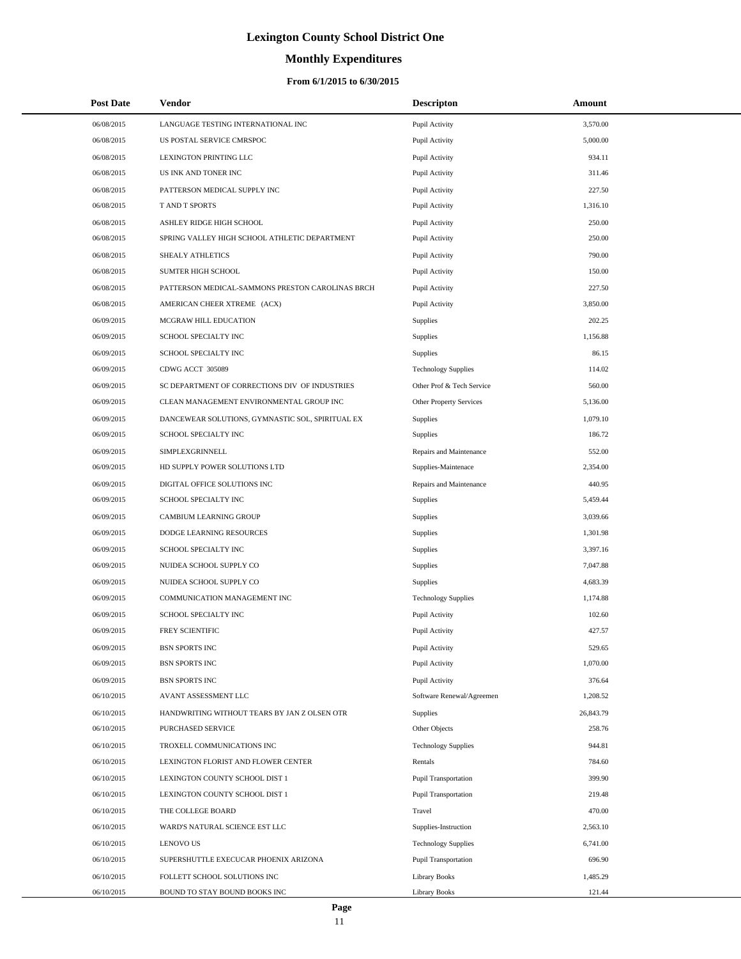# **Monthly Expenditures**

| <b>Post Date</b> | <b>Vendor</b>                                    | <b>Descripton</b>           | Amount    |  |
|------------------|--------------------------------------------------|-----------------------------|-----------|--|
| 06/08/2015       | LANGUAGE TESTING INTERNATIONAL INC               | Pupil Activity              | 3,570.00  |  |
| 06/08/2015       | US POSTAL SERVICE CMRSPOC                        | Pupil Activity              | 5,000.00  |  |
| 06/08/2015       | LEXINGTON PRINTING LLC                           | Pupil Activity              | 934.11    |  |
| 06/08/2015       | US INK AND TONER INC                             | Pupil Activity              | 311.46    |  |
| 06/08/2015       | PATTERSON MEDICAL SUPPLY INC                     | Pupil Activity              | 227.50    |  |
| 06/08/2015       | T AND T SPORTS                                   | Pupil Activity              | 1,316.10  |  |
| 06/08/2015       | ASHLEY RIDGE HIGH SCHOOL                         | Pupil Activity              | 250.00    |  |
| 06/08/2015       | SPRING VALLEY HIGH SCHOOL ATHLETIC DEPARTMENT    | Pupil Activity              | 250.00    |  |
| 06/08/2015       | SHEALY ATHLETICS                                 | Pupil Activity              | 790.00    |  |
| 06/08/2015       | SUMTER HIGH SCHOOL                               | Pupil Activity              | 150.00    |  |
| 06/08/2015       | PATTERSON MEDICAL-SAMMONS PRESTON CAROLINAS BRCH | Pupil Activity              | 227.50    |  |
| 06/08/2015       | AMERICAN CHEER XTREME (ACX)                      | Pupil Activity              | 3,850.00  |  |
| 06/09/2015       | MCGRAW HILL EDUCATION                            | <b>Supplies</b>             | 202.25    |  |
| 06/09/2015       | SCHOOL SPECIALTY INC                             | <b>Supplies</b>             | 1,156.88  |  |
| 06/09/2015       | SCHOOL SPECIALTY INC                             | <b>Supplies</b>             | 86.15     |  |
| 06/09/2015       | CDWG ACCT 305089                                 | <b>Technology Supplies</b>  | 114.02    |  |
| 06/09/2015       | SC DEPARTMENT OF CORRECTIONS DIV OF INDUSTRIES   | Other Prof & Tech Service   | 560.00    |  |
| 06/09/2015       | CLEAN MANAGEMENT ENVIRONMENTAL GROUP INC         | Other Property Services     | 5,136.00  |  |
| 06/09/2015       | DANCEWEAR SOLUTIONS, GYMNASTIC SOL, SPIRITUAL EX | <b>Supplies</b>             | 1,079.10  |  |
| 06/09/2015       | SCHOOL SPECIALTY INC                             | <b>Supplies</b>             | 186.72    |  |
| 06/09/2015       | SIMPLEXGRINNELL                                  | Repairs and Maintenance     | 552.00    |  |
| 06/09/2015       | HD SUPPLY POWER SOLUTIONS LTD                    | Supplies-Maintenace         | 2,354.00  |  |
| 06/09/2015       | DIGITAL OFFICE SOLUTIONS INC                     | Repairs and Maintenance     | 440.95    |  |
| 06/09/2015       | SCHOOL SPECIALTY INC                             | Supplies                    | 5,459.44  |  |
| 06/09/2015       | CAMBIUM LEARNING GROUP                           | Supplies                    | 3,039.66  |  |
| 06/09/2015       | DODGE LEARNING RESOURCES                         | Supplies                    | 1,301.98  |  |
| 06/09/2015       | SCHOOL SPECIALTY INC                             | Supplies                    | 3,397.16  |  |
| 06/09/2015       | NUIDEA SCHOOL SUPPLY CO                          | Supplies                    | 7,047.88  |  |
| 06/09/2015       | NUIDEA SCHOOL SUPPLY CO                          | Supplies                    | 4,683.39  |  |
| 06/09/2015       | COMMUNICATION MANAGEMENT INC                     | <b>Technology Supplies</b>  | 1,174.88  |  |
| 06/09/2015       | SCHOOL SPECIALTY INC                             | Pupil Activity              | 102.60    |  |
| 06/09/2015       | FREY SCIENTIFIC                                  | Pupil Activity              | 427.57    |  |
| 06/09/2015       | <b>BSN SPORTS INC</b>                            | Pupil Activity              | 529.65    |  |
| 06/09/2015       | <b>BSN SPORTS INC</b>                            | Pupil Activity              | 1,070.00  |  |
| 06/09/2015       | <b>BSN SPORTS INC</b>                            | Pupil Activity              | 376.64    |  |
| 06/10/2015       | AVANT ASSESSMENT LLC                             | Software Renewal/Agreemen   | 1,208.52  |  |
| 06/10/2015       | HANDWRITING WITHOUT TEARS BY JAN Z OLSEN OTR     | Supplies                    | 26,843.79 |  |
| 06/10/2015       | PURCHASED SERVICE                                | Other Objects               | 258.76    |  |
| 06/10/2015       | TROXELL COMMUNICATIONS INC                       | <b>Technology Supplies</b>  | 944.81    |  |
| 06/10/2015       | LEXINGTON FLORIST AND FLOWER CENTER              | Rentals                     | 784.60    |  |
| 06/10/2015       | LEXINGTON COUNTY SCHOOL DIST 1                   | <b>Pupil Transportation</b> | 399.90    |  |
| 06/10/2015       | LEXINGTON COUNTY SCHOOL DIST 1                   | Pupil Transportation        | 219.48    |  |
| 06/10/2015       | THE COLLEGE BOARD                                | Travel                      | 470.00    |  |
| 06/10/2015       | WARD'S NATURAL SCIENCE EST LLC                   | Supplies-Instruction        | 2,563.10  |  |
| 06/10/2015       | <b>LENOVO US</b>                                 | <b>Technology Supplies</b>  | 6,741.00  |  |
| 06/10/2015       | SUPERSHUTTLE EXECUCAR PHOENIX ARIZONA            | Pupil Transportation        | 696.90    |  |
| 06/10/2015       | FOLLETT SCHOOL SOLUTIONS INC                     | <b>Library Books</b>        | 1,485.29  |  |
| 06/10/2015       | BOUND TO STAY BOUND BOOKS INC                    | Library Books               | 121.44    |  |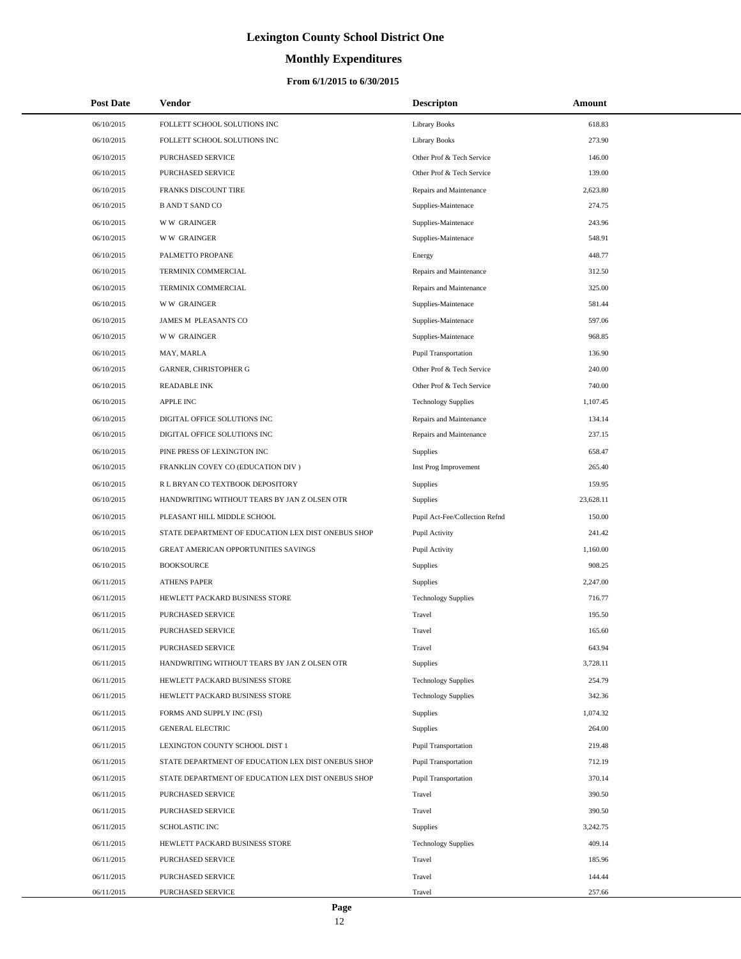# **Monthly Expenditures**

| <b>Post Date</b> | <b>Vendor</b>                                      | <b>Descripton</b>              | Amount    |
|------------------|----------------------------------------------------|--------------------------------|-----------|
| 06/10/2015       | FOLLETT SCHOOL SOLUTIONS INC                       | <b>Library Books</b>           | 618.83    |
| 06/10/2015       | FOLLETT SCHOOL SOLUTIONS INC                       | <b>Library Books</b>           | 273.90    |
| 06/10/2015       | PURCHASED SERVICE                                  | Other Prof & Tech Service      | 146.00    |
| 06/10/2015       | PURCHASED SERVICE                                  | Other Prof & Tech Service      | 139.00    |
| 06/10/2015       | FRANKS DISCOUNT TIRE                               | Repairs and Maintenance        | 2,623.80  |
| 06/10/2015       | <b>B AND T SAND CO</b>                             | Supplies-Maintenace            | 274.75    |
| 06/10/2015       | <b>WW GRAINGER</b>                                 | Supplies-Maintenace            | 243.96    |
| 06/10/2015       | <b>WW GRAINGER</b>                                 | Supplies-Maintenace            | 548.91    |
| 06/10/2015       | PALMETTO PROPANE                                   | Energy                         | 448.77    |
| 06/10/2015       | TERMINIX COMMERCIAL                                | Repairs and Maintenance        | 312.50    |
| 06/10/2015       | TERMINIX COMMERCIAL                                | Repairs and Maintenance        | 325.00    |
| 06/10/2015       | <b>WW GRAINGER</b>                                 | Supplies-Maintenace            | 581.44    |
| 06/10/2015       | JAMES M PLEASANTS CO                               | Supplies-Maintenace            | 597.06    |
| 06/10/2015       | <b>WW GRAINGER</b>                                 | Supplies-Maintenace            | 968.85    |
| 06/10/2015       | MAY, MARLA                                         | <b>Pupil Transportation</b>    | 136.90    |
| 06/10/2015       | <b>GARNER, CHRISTOPHER G</b>                       | Other Prof & Tech Service      | 240.00    |
| 06/10/2015       | <b>READABLE INK</b>                                | Other Prof & Tech Service      | 740.00    |
| 06/10/2015       | <b>APPLE INC</b>                                   | <b>Technology Supplies</b>     | 1,107.45  |
| 06/10/2015       | DIGITAL OFFICE SOLUTIONS INC                       | Repairs and Maintenance        | 134.14    |
| 06/10/2015       | DIGITAL OFFICE SOLUTIONS INC                       | Repairs and Maintenance        | 237.15    |
| 06/10/2015       | PINE PRESS OF LEXINGTON INC                        | Supplies                       | 658.47    |
| 06/10/2015       | FRANKLIN COVEY CO (EDUCATION DIV)                  | Inst Prog Improvement          | 265.40    |
| 06/10/2015       | R L BRYAN CO TEXTBOOK DEPOSITORY                   | Supplies                       | 159.95    |
| 06/10/2015       | HANDWRITING WITHOUT TEARS BY JAN Z OLSEN OTR       | Supplies                       | 23,628.11 |
| 06/10/2015       | PLEASANT HILL MIDDLE SCHOOL                        | Pupil Act-Fee/Collection Refnd | 150.00    |
| 06/10/2015       | STATE DEPARTMENT OF EDUCATION LEX DIST ONEBUS SHOP | Pupil Activity                 | 241.42    |
| 06/10/2015       | GREAT AMERICAN OPPORTUNITIES SAVINGS               | Pupil Activity                 | 1,160.00  |
| 06/10/2015       | <b>BOOKSOURCE</b>                                  | Supplies                       | 908.25    |
| 06/11/2015       | <b>ATHENS PAPER</b>                                | Supplies                       | 2,247.00  |
| 06/11/2015       | HEWLETT PACKARD BUSINESS STORE                     | <b>Technology Supplies</b>     | 716.77    |
| 06/11/2015       | PURCHASED SERVICE                                  | Travel                         | 195.50    |
| 06/11/2015       | PURCHASED SERVICE                                  | Travel                         | 165.60    |
| 06/11/2015       | PURCHASED SERVICE                                  | Travel                         | 643.94    |
| 06/11/2015       | HANDWRITING WITHOUT TEARS BY JAN Z OLSEN OTR       | Supplies                       | 3,728.11  |
| 06/11/2015       | HEWLETT PACKARD BUSINESS STORE                     | <b>Technology Supplies</b>     | 254.79    |
| 06/11/2015       | HEWLETT PACKARD BUSINESS STORE                     | <b>Technology Supplies</b>     | 342.36    |
| 06/11/2015       | FORMS AND SUPPLY INC (FSI)                         | Supplies                       | 1,074.32  |
| 06/11/2015       | <b>GENERAL ELECTRIC</b>                            | Supplies                       | 264.00    |
| 06/11/2015       | LEXINGTON COUNTY SCHOOL DIST 1                     | Pupil Transportation           | 219.48    |
| 06/11/2015       | STATE DEPARTMENT OF EDUCATION LEX DIST ONEBUS SHOP | Pupil Transportation           | 712.19    |
| 06/11/2015       | STATE DEPARTMENT OF EDUCATION LEX DIST ONEBUS SHOP | Pupil Transportation           | 370.14    |
| 06/11/2015       | PURCHASED SERVICE                                  | Travel                         | 390.50    |
| 06/11/2015       | PURCHASED SERVICE                                  | Travel                         | 390.50    |
| 06/11/2015       | SCHOLASTIC INC                                     | Supplies                       | 3,242.75  |
| 06/11/2015       | HEWLETT PACKARD BUSINESS STORE                     | <b>Technology Supplies</b>     | 409.14    |
| 06/11/2015       | PURCHASED SERVICE                                  | Travel                         | 185.96    |
| 06/11/2015       | PURCHASED SERVICE                                  | Travel                         | 144.44    |
| 06/11/2015       | PURCHASED SERVICE                                  | Travel                         | 257.66    |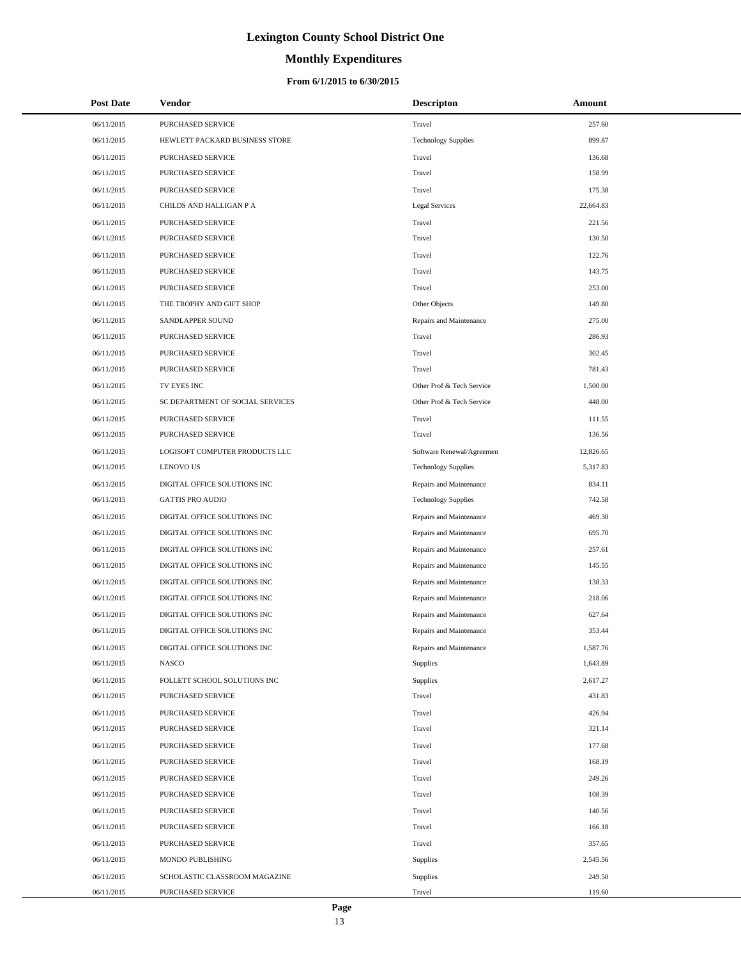# **Monthly Expenditures**

### **From 6/1/2015 to 6/30/2015**

| <b>Post Date</b> | Vendor                           | <b>Descripton</b>          | Amount    |
|------------------|----------------------------------|----------------------------|-----------|
| 06/11/2015       | PURCHASED SERVICE                | Travel                     | 257.60    |
| 06/11/2015       | HEWLETT PACKARD BUSINESS STORE   | <b>Technology Supplies</b> | 899.87    |
| 06/11/2015       | PURCHASED SERVICE                | Travel                     | 136.68    |
| 06/11/2015       | PURCHASED SERVICE                | Travel                     | 158.99    |
| 06/11/2015       | PURCHASED SERVICE                | Travel                     | 175.38    |
| 06/11/2015       | CHILDS AND HALLIGAN P A          | Legal Services             | 22,664.83 |
| 06/11/2015       | PURCHASED SERVICE                | Travel                     | 221.56    |
| 06/11/2015       | PURCHASED SERVICE                | Travel                     | 130.50    |
| 06/11/2015       | PURCHASED SERVICE                | Travel                     | 122.76    |
| 06/11/2015       | PURCHASED SERVICE                | Travel                     | 143.75    |
| 06/11/2015       | PURCHASED SERVICE                | Travel                     | 253.00    |
| 06/11/2015       | THE TROPHY AND GIFT SHOP         | Other Objects              | 149.80    |
| 06/11/2015       | SANDLAPPER SOUND                 | Repairs and Maintenance    | 275.00    |
| 06/11/2015       | PURCHASED SERVICE                | Travel                     | 286.93    |
| 06/11/2015       | PURCHASED SERVICE                | Travel                     | 302.45    |
| 06/11/2015       | PURCHASED SERVICE                | Travel                     | 781.43    |
| 06/11/2015       | TV EYES INC                      | Other Prof & Tech Service  | 1,500.00  |
| 06/11/2015       | SC DEPARTMENT OF SOCIAL SERVICES | Other Prof & Tech Service  | 448.00    |
| 06/11/2015       | <b>PURCHASED SERVICE</b>         | Travel                     | 111.55    |
| 06/11/2015       | PURCHASED SERVICE                | Travel                     | 136.56    |
| 06/11/2015       | LOGISOFT COMPUTER PRODUCTS LLC   | Software Renewal/Agreemen  | 12,826.65 |
| 06/11/2015       | <b>LENOVO US</b>                 | <b>Technology Supplies</b> | 5,317.83  |
| 06/11/2015       | DIGITAL OFFICE SOLUTIONS INC     | Repairs and Maintenance    | 834.11    |
| 06/11/2015       | <b>GATTIS PRO AUDIO</b>          | <b>Technology Supplies</b> | 742.58    |
| 06/11/2015       | DIGITAL OFFICE SOLUTIONS INC     | Repairs and Maintenance    | 469.30    |
| 06/11/2015       | DIGITAL OFFICE SOLUTIONS INC     | Repairs and Maintenance    | 695.70    |
| 06/11/2015       | DIGITAL OFFICE SOLUTIONS INC     | Repairs and Maintenance    | 257.61    |
| 06/11/2015       | DIGITAL OFFICE SOLUTIONS INC     | Repairs and Maintenance    | 145.55    |
| 06/11/2015       | DIGITAL OFFICE SOLUTIONS INC     | Repairs and Maintenance    | 138.33    |
| 06/11/2015       | DIGITAL OFFICE SOLUTIONS INC     | Repairs and Maintenance    | 218.06    |
| 06/11/2015       | DIGITAL OFFICE SOLUTIONS INC     | Repairs and Maintenance    | 627.64    |
| 06/11/2015       | DIGITAL OFFICE SOLUTIONS INC     | Repairs and Maintenance    | 353.44    |
| 06/11/2015       | DIGITAL OFFICE SOLUTIONS INC     | Repairs and Maintenance    | 1,587.76  |
| 06/11/2015       | <b>NASCO</b>                     | Supplies                   | 1,643.89  |
| 06/11/2015       | FOLLETT SCHOOL SOLUTIONS INC     | Supplies                   | 2,617.27  |
| 06/11/2015       | PURCHASED SERVICE                | Travel                     | 431.83    |
| 06/11/2015       | <b>PURCHASED SERVICE</b>         | Travel                     | 426.94    |
| 06/11/2015       | <b>PURCHASED SERVICE</b>         | Travel                     | 321.14    |
| 06/11/2015       | <b>PURCHASED SERVICE</b>         | Travel                     | 177.68    |
| 06/11/2015       | PURCHASED SERVICE                | Travel                     | 168.19    |
| 06/11/2015       | PURCHASED SERVICE                | Travel                     | 249.26    |
| 06/11/2015       | PURCHASED SERVICE                | Travel                     | 108.39    |
| 06/11/2015       | PURCHASED SERVICE                | Travel                     | 140.56    |
| 06/11/2015       | PURCHASED SERVICE                | Travel                     | 166.18    |
| 06/11/2015       | PURCHASED SERVICE                | Travel                     | 357.65    |
| 06/11/2015       | MONDO PUBLISHING                 | Supplies                   | 2,545.56  |
| 06/11/2015       | SCHOLASTIC CLASSROOM MAGAZINE    | Supplies                   | 249.50    |
| 06/11/2015       | PURCHASED SERVICE                | Travel                     | 119.60    |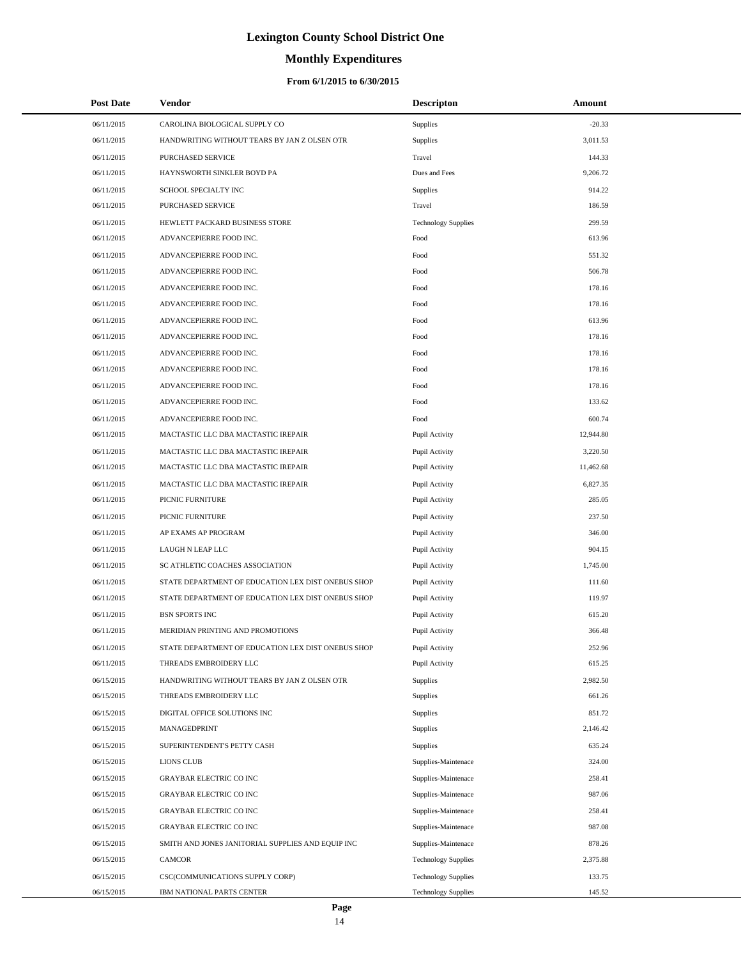# **Monthly Expenditures**

| <b>Post Date</b> | Vendor                                             | <b>Descripton</b>          | Amount    |  |
|------------------|----------------------------------------------------|----------------------------|-----------|--|
| 06/11/2015       | CAROLINA BIOLOGICAL SUPPLY CO                      | <b>Supplies</b>            | $-20.33$  |  |
| 06/11/2015       | HANDWRITING WITHOUT TEARS BY JAN Z OLSEN OTR       | Supplies                   | 3,011.53  |  |
| 06/11/2015       | PURCHASED SERVICE                                  | Travel                     | 144.33    |  |
| 06/11/2015       | HAYNSWORTH SINKLER BOYD PA                         | Dues and Fees              | 9,206.72  |  |
| 06/11/2015       | SCHOOL SPECIALTY INC                               | <b>Supplies</b>            | 914.22    |  |
| 06/11/2015       | PURCHASED SERVICE                                  | Travel                     | 186.59    |  |
| 06/11/2015       | HEWLETT PACKARD BUSINESS STORE                     | <b>Technology Supplies</b> | 299.59    |  |
| 06/11/2015       | ADVANCEPIERRE FOOD INC.                            | Food                       | 613.96    |  |
| 06/11/2015       | ADVANCEPIERRE FOOD INC.                            | Food                       | 551.32    |  |
| 06/11/2015       | ADVANCEPIERRE FOOD INC.                            | Food                       | 506.78    |  |
| 06/11/2015       | ADVANCEPIERRE FOOD INC.                            | Food                       | 178.16    |  |
| 06/11/2015       | ADVANCEPIERRE FOOD INC.                            | Food                       | 178.16    |  |
| 06/11/2015       | ADVANCEPIERRE FOOD INC.                            | Food                       | 613.96    |  |
| 06/11/2015       | ADVANCEPIERRE FOOD INC.                            | Food                       | 178.16    |  |
| 06/11/2015       | ADVANCEPIERRE FOOD INC.                            | Food                       | 178.16    |  |
| 06/11/2015       | ADVANCEPIERRE FOOD INC.                            | Food                       | 178.16    |  |
| 06/11/2015       | ADVANCEPIERRE FOOD INC.                            | Food                       | 178.16    |  |
| 06/11/2015       | ADVANCEPIERRE FOOD INC.                            | Food                       | 133.62    |  |
| 06/11/2015       | ADVANCEPIERRE FOOD INC.                            | Food                       | 600.74    |  |
| 06/11/2015       | MACTASTIC LLC DBA MACTASTIC IREPAIR                | Pupil Activity             | 12,944.80 |  |
| 06/11/2015       | MACTASTIC LLC DBA MACTASTIC IREPAIR                | Pupil Activity             | 3,220.50  |  |
| 06/11/2015       | MACTASTIC LLC DBA MACTASTIC IREPAIR                | Pupil Activity             | 11,462.68 |  |
| 06/11/2015       | MACTASTIC LLC DBA MACTASTIC IREPAIR                | Pupil Activity             | 6,827.35  |  |
| 06/11/2015       | PICNIC FURNITURE                                   | Pupil Activity             | 285.05    |  |
| 06/11/2015       | PICNIC FURNITURE                                   | Pupil Activity             | 237.50    |  |
| 06/11/2015       | AP EXAMS AP PROGRAM                                | Pupil Activity             | 346.00    |  |
| 06/11/2015       | LAUGH N LEAP LLC                                   | Pupil Activity             | 904.15    |  |
| 06/11/2015       | SC ATHLETIC COACHES ASSOCIATION                    | Pupil Activity             | 1,745.00  |  |
| 06/11/2015       | STATE DEPARTMENT OF EDUCATION LEX DIST ONEBUS SHOP | Pupil Activity             | 111.60    |  |
| 06/11/2015       | STATE DEPARTMENT OF EDUCATION LEX DIST ONEBUS SHOP | Pupil Activity             | 119.97    |  |
| 06/11/2015       | <b>BSN SPORTS INC</b>                              | Pupil Activity             | 615.20    |  |
| 06/11/2015       | MERIDIAN PRINTING AND PROMOTIONS                   | Pupil Activity             | 366.48    |  |
| 06/11/2015       | STATE DEPARTMENT OF EDUCATION LEX DIST ONEBUS SHOP | Pupil Activity             | 252.96    |  |
| 06/11/2015       | THREADS EMBROIDERY LLC                             | Pupil Activity             | 615.25    |  |
| 06/15/2015       | HANDWRITING WITHOUT TEARS BY JAN Z OLSEN OTR       | Supplies                   | 2,982.50  |  |
| 06/15/2015       | THREADS EMBROIDERY LLC                             | Supplies                   | 661.26    |  |
| 06/15/2015       | DIGITAL OFFICE SOLUTIONS INC                       | Supplies                   | 851.72    |  |
| 06/15/2015       | MANAGEDPRINT                                       | Supplies                   | 2,146.42  |  |
| 06/15/2015       | SUPERINTENDENT'S PETTY CASH                        | Supplies                   | 635.24    |  |
| 06/15/2015       | <b>LIONS CLUB</b>                                  | Supplies-Maintenace        | 324.00    |  |
| 06/15/2015       | GRAYBAR ELECTRIC CO INC                            | Supplies-Maintenace        | 258.41    |  |
| 06/15/2015       | GRAYBAR ELECTRIC CO INC                            | Supplies-Maintenace        | 987.06    |  |
| 06/15/2015       | GRAYBAR ELECTRIC CO INC                            | Supplies-Maintenace        | 258.41    |  |
| 06/15/2015       | <b>GRAYBAR ELECTRIC CO INC</b>                     | Supplies-Maintenace        | 987.08    |  |
| 06/15/2015       | SMITH AND JONES JANITORIAL SUPPLIES AND EQUIP INC  | Supplies-Maintenace        | 878.26    |  |
| 06/15/2015       | CAMCOR                                             | <b>Technology Supplies</b> | 2,375.88  |  |
| 06/15/2015       | CSC(COMMUNICATIONS SUPPLY CORP)                    | <b>Technology Supplies</b> | 133.75    |  |
| 06/15/2015       | IBM NATIONAL PARTS CENTER                          | <b>Technology Supplies</b> | 145.52    |  |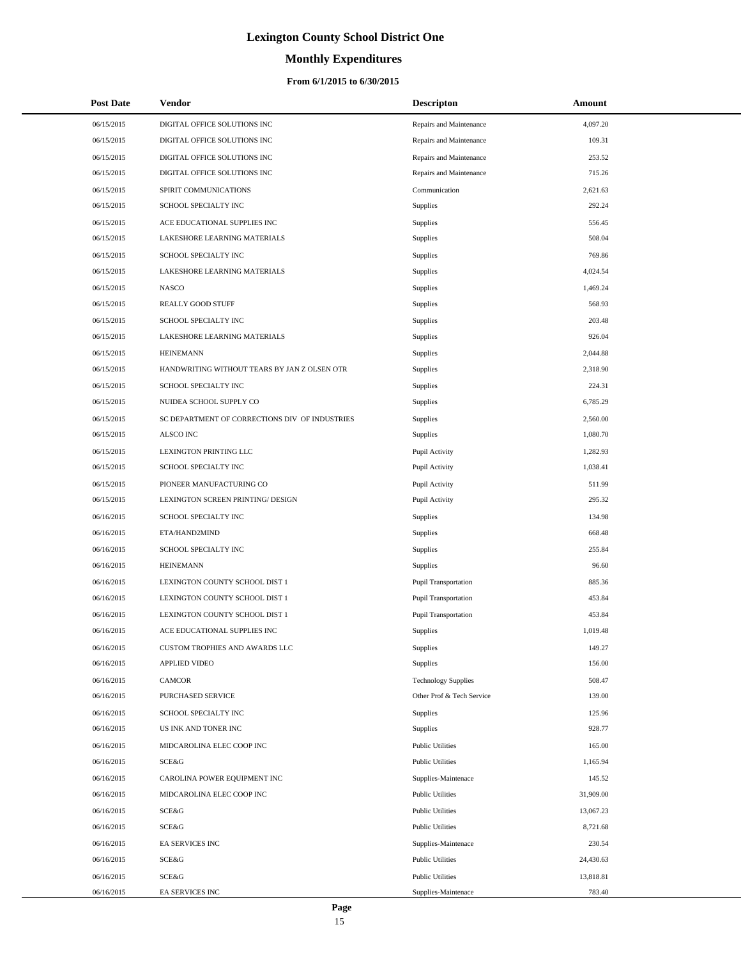# **Monthly Expenditures**

### **From 6/1/2015 to 6/30/2015**

| <b>Post Date</b> | <b>Vendor</b>                                  | <b>Descripton</b>           | Amount    |
|------------------|------------------------------------------------|-----------------------------|-----------|
| 06/15/2015       | DIGITAL OFFICE SOLUTIONS INC                   | Repairs and Maintenance     | 4,097.20  |
| 06/15/2015       | DIGITAL OFFICE SOLUTIONS INC                   | Repairs and Maintenance     | 109.31    |
| 06/15/2015       | DIGITAL OFFICE SOLUTIONS INC                   | Repairs and Maintenance     | 253.52    |
| 06/15/2015       | DIGITAL OFFICE SOLUTIONS INC                   | Repairs and Maintenance     | 715.26    |
| 06/15/2015       | SPIRIT COMMUNICATIONS                          | Communication               | 2,621.63  |
| 06/15/2015       | SCHOOL SPECIALTY INC                           | Supplies                    | 292.24    |
| 06/15/2015       | ACE EDUCATIONAL SUPPLIES INC                   | Supplies                    | 556.45    |
| 06/15/2015       | LAKESHORE LEARNING MATERIALS                   | Supplies                    | 508.04    |
| 06/15/2015       | SCHOOL SPECIALTY INC                           | Supplies                    | 769.86    |
| 06/15/2015       | LAKESHORE LEARNING MATERIALS                   | Supplies                    | 4,024.54  |
| 06/15/2015       | <b>NASCO</b>                                   | Supplies                    | 1,469.24  |
| 06/15/2015       | REALLY GOOD STUFF                              | Supplies                    | 568.93    |
| 06/15/2015       | SCHOOL SPECIALTY INC                           | Supplies                    | 203.48    |
| 06/15/2015       | LAKESHORE LEARNING MATERIALS                   | Supplies                    | 926.04    |
| 06/15/2015       | <b>HEINEMANN</b>                               | Supplies                    | 2,044.88  |
| 06/15/2015       | HANDWRITING WITHOUT TEARS BY JAN Z OLSEN OTR   | Supplies                    | 2,318.90  |
| 06/15/2015       | SCHOOL SPECIALTY INC                           | Supplies                    | 224.31    |
| 06/15/2015       | NUIDEA SCHOOL SUPPLY CO                        | <b>Supplies</b>             | 6,785.29  |
| 06/15/2015       | SC DEPARTMENT OF CORRECTIONS DIV OF INDUSTRIES | Supplies                    | 2,560.00  |
| 06/15/2015       | ALSCO INC                                      | <b>Supplies</b>             | 1,080.70  |
| 06/15/2015       | LEXINGTON PRINTING LLC                         | Pupil Activity              | 1,282.93  |
| 06/15/2015       | SCHOOL SPECIALTY INC                           | Pupil Activity              | 1,038.41  |
| 06/15/2015       | PIONEER MANUFACTURING CO                       | Pupil Activity              | 511.99    |
| 06/15/2015       | LEXINGTON SCREEN PRINTING/ DESIGN              | Pupil Activity              | 295.32    |
| 06/16/2015       | SCHOOL SPECIALTY INC                           | <b>Supplies</b>             | 134.98    |
| 06/16/2015       | ETA/HAND2MIND                                  | Supplies                    | 668.48    |
| 06/16/2015       | SCHOOL SPECIALTY INC                           | Supplies                    | 255.84    |
| 06/16/2015       | <b>HEINEMANN</b>                               | <b>Supplies</b>             | 96.60     |
| 06/16/2015       | LEXINGTON COUNTY SCHOOL DIST 1                 | <b>Pupil Transportation</b> | 885.36    |
| 06/16/2015       | LEXINGTON COUNTY SCHOOL DIST 1                 | <b>Pupil Transportation</b> | 453.84    |
| 06/16/2015       | LEXINGTON COUNTY SCHOOL DIST 1                 | <b>Pupil Transportation</b> | 453.84    |
| 06/16/2015       | ACE EDUCATIONAL SUPPLIES INC                   | <b>Supplies</b>             | 1,019.48  |
| 06/16/2015       | CUSTOM TROPHIES AND AWARDS LLC                 | Supplies                    | 149.27    |
| 06/16/2015       | <b>APPLIED VIDEO</b>                           | <b>Supplies</b>             | 156.00    |
| 06/16/2015       | CAMCOR                                         | <b>Technology Supplies</b>  | 508.47    |
| 06/16/2015       | PURCHASED SERVICE                              | Other Prof & Tech Service   | 139.00    |
| 06/16/2015       | SCHOOL SPECIALTY INC                           | <b>Supplies</b>             | 125.96    |
| 06/16/2015       | US INK AND TONER INC                           | Supplies                    | 928.77    |
| 06/16/2015       | MIDCAROLINA ELEC COOP INC                      | <b>Public Utilities</b>     | 165.00    |
| 06/16/2015       | SCE&G                                          | <b>Public Utilities</b>     | 1,165.94  |
| 06/16/2015       | CAROLINA POWER EQUIPMENT INC                   | Supplies-Maintenace         | 145.52    |
| 06/16/2015       | MIDCAROLINA ELEC COOP INC                      | <b>Public Utilities</b>     | 31,909.00 |
| 06/16/2015       | SCE&G                                          | <b>Public Utilities</b>     | 13,067.23 |
| 06/16/2015       | SCE&G                                          | <b>Public Utilities</b>     | 8,721.68  |
| 06/16/2015       | EA SERVICES INC                                | Supplies-Maintenace         | 230.54    |
| 06/16/2015       | SCE&G                                          | <b>Public Utilities</b>     | 24,430.63 |
| 06/16/2015       | SCE&G                                          | <b>Public Utilities</b>     | 13,818.81 |
| 06/16/2015       | EA SERVICES INC                                | Supplies-Maintenace         | 783.40    |

 $\overline{a}$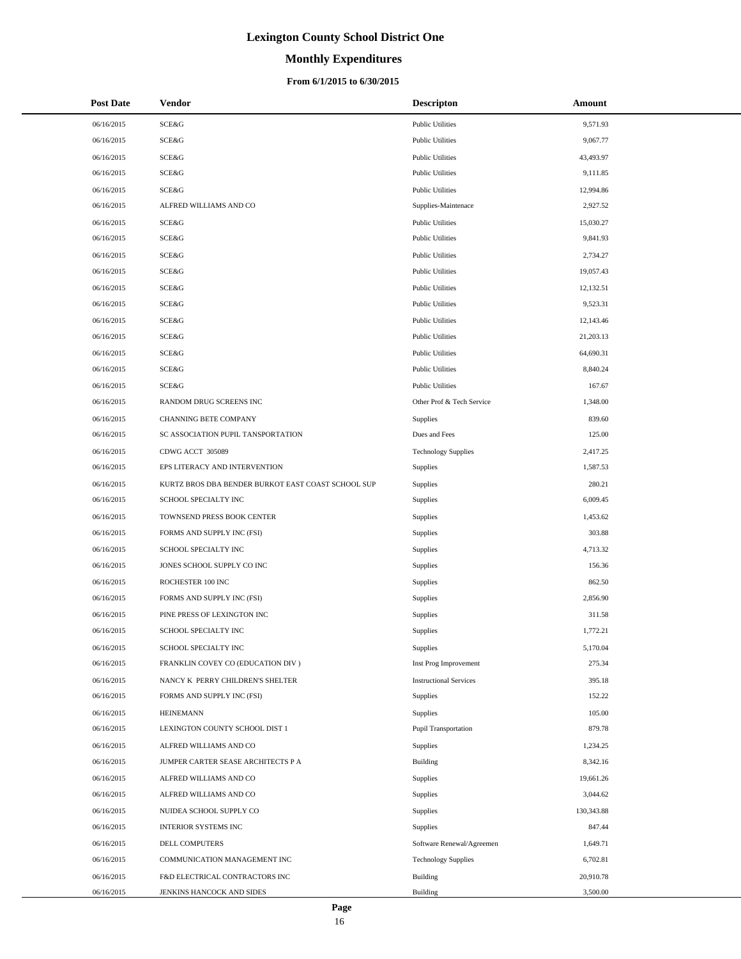# **Monthly Expenditures**

### **From 6/1/2015 to 6/30/2015**

| <b>Post Date</b> | Vendor                                             | <b>Descripton</b>             | Amount     |
|------------------|----------------------------------------------------|-------------------------------|------------|
| 06/16/2015       | <b>SCE&amp;G</b>                                   | <b>Public Utilities</b>       | 9,571.93   |
| 06/16/2015       | SCE&G                                              | <b>Public Utilities</b>       | 9,067.77   |
| 06/16/2015       | <b>SCE&amp;G</b>                                   | <b>Public Utilities</b>       | 43,493.97  |
| 06/16/2015       | <b>SCE&amp;G</b>                                   | <b>Public Utilities</b>       | 9,111.85   |
| 06/16/2015       | <b>SCE&amp;G</b>                                   | <b>Public Utilities</b>       | 12,994.86  |
| 06/16/2015       | ALFRED WILLIAMS AND CO                             | Supplies-Maintenace           | 2,927.52   |
| 06/16/2015       | <b>SCE&amp;G</b>                                   | <b>Public Utilities</b>       | 15,030.27  |
| 06/16/2015       | <b>SCE&amp;G</b>                                   | <b>Public Utilities</b>       | 9,841.93   |
| 06/16/2015       | SCE&G                                              | <b>Public Utilities</b>       | 2,734.27   |
| 06/16/2015       | SCE&G                                              | <b>Public Utilities</b>       | 19,057.43  |
| 06/16/2015       | <b>SCE&amp;G</b>                                   | <b>Public Utilities</b>       | 12,132.51  |
| 06/16/2015       | SCE&G                                              | <b>Public Utilities</b>       | 9,523.31   |
| 06/16/2015       | <b>SCE&amp;G</b>                                   | <b>Public Utilities</b>       | 12,143.46  |
| 06/16/2015       | SCE&G                                              | <b>Public Utilities</b>       | 21,203.13  |
| 06/16/2015       | <b>SCE&amp;G</b>                                   | <b>Public Utilities</b>       | 64,690.31  |
| 06/16/2015       | <b>SCE&amp;G</b>                                   | <b>Public Utilities</b>       | 8,840.24   |
| 06/16/2015       | SCE&G                                              | <b>Public Utilities</b>       | 167.67     |
| 06/16/2015       | RANDOM DRUG SCREENS INC                            | Other Prof & Tech Service     | 1,348.00   |
| 06/16/2015       | <b>CHANNING BETE COMPANY</b>                       | Supplies                      | 839.60     |
| 06/16/2015       | SC ASSOCIATION PUPIL TANSPORTATION                 | Dues and Fees                 | 125.00     |
| 06/16/2015       | CDWG ACCT 305089                                   | <b>Technology Supplies</b>    | 2,417.25   |
| 06/16/2015       | EPS LITERACY AND INTERVENTION                      | Supplies                      | 1,587.53   |
| 06/16/2015       | KURTZ BROS DBA BENDER BURKOT EAST COAST SCHOOL SUP | <b>Supplies</b>               | 280.21     |
| 06/16/2015       | SCHOOL SPECIALTY INC                               | <b>Supplies</b>               | 6,009.45   |
| 06/16/2015       | TOWNSEND PRESS BOOK CENTER                         | Supplies                      | 1,453.62   |
| 06/16/2015       | FORMS AND SUPPLY INC (FSI)                         | Supplies                      | 303.88     |
| 06/16/2015       | SCHOOL SPECIALTY INC                               | Supplies                      | 4,713.32   |
| 06/16/2015       | JONES SCHOOL SUPPLY CO INC                         | Supplies                      | 156.36     |
| 06/16/2015       | ROCHESTER 100 INC                                  | Supplies                      | 862.50     |
| 06/16/2015       | FORMS AND SUPPLY INC (FSI)                         | Supplies                      | 2,856.90   |
| 06/16/2015       | PINE PRESS OF LEXINGTON INC                        | Supplies                      | 311.58     |
| 06/16/2015       | SCHOOL SPECIALTY INC                               | Supplies                      | 1,772.21   |
| 06/16/2015       | SCHOOL SPECIALTY INC                               | Supplies                      | 5,170.04   |
| 06/16/2015       | FRANKLIN COVEY CO (EDUCATION DIV)                  | Inst Prog Improvement         | 275.34     |
| 06/16/2015       | NANCY K PERRY CHILDREN'S SHELTER                   | <b>Instructional Services</b> | 395.18     |
| 06/16/2015       | FORMS AND SUPPLY INC (FSI)                         | Supplies                      | 152.22     |
| 06/16/2015       | <b>HEINEMANN</b>                                   | Supplies                      | 105.00     |
| 06/16/2015       | LEXINGTON COUNTY SCHOOL DIST 1                     | <b>Pupil Transportation</b>   | 879.78     |
| 06/16/2015       | ALFRED WILLIAMS AND CO                             | Supplies                      | 1,234.25   |
| 06/16/2015       | JUMPER CARTER SEASE ARCHITECTS P A                 | Building                      | 8,342.16   |
| 06/16/2015       | ALFRED WILLIAMS AND CO                             | Supplies                      | 19,661.26  |
| 06/16/2015       | ALFRED WILLIAMS AND CO                             | Supplies                      | 3,044.62   |
| 06/16/2015       | NUIDEA SCHOOL SUPPLY CO                            | Supplies                      | 130,343.88 |
| 06/16/2015       | <b>INTERIOR SYSTEMS INC</b>                        | Supplies                      | 847.44     |
| 06/16/2015       | DELL COMPUTERS                                     | Software Renewal/Agreemen     | 1,649.71   |
| 06/16/2015       | COMMUNICATION MANAGEMENT INC                       | <b>Technology Supplies</b>    | 6,702.81   |
| 06/16/2015       | F&D ELECTRICAL CONTRACTORS INC                     | Building                      | 20,910.78  |
| 06/16/2015       | JENKINS HANCOCK AND SIDES                          | Building                      | 3,500.00   |

 $\overline{a}$  $\overline{a}$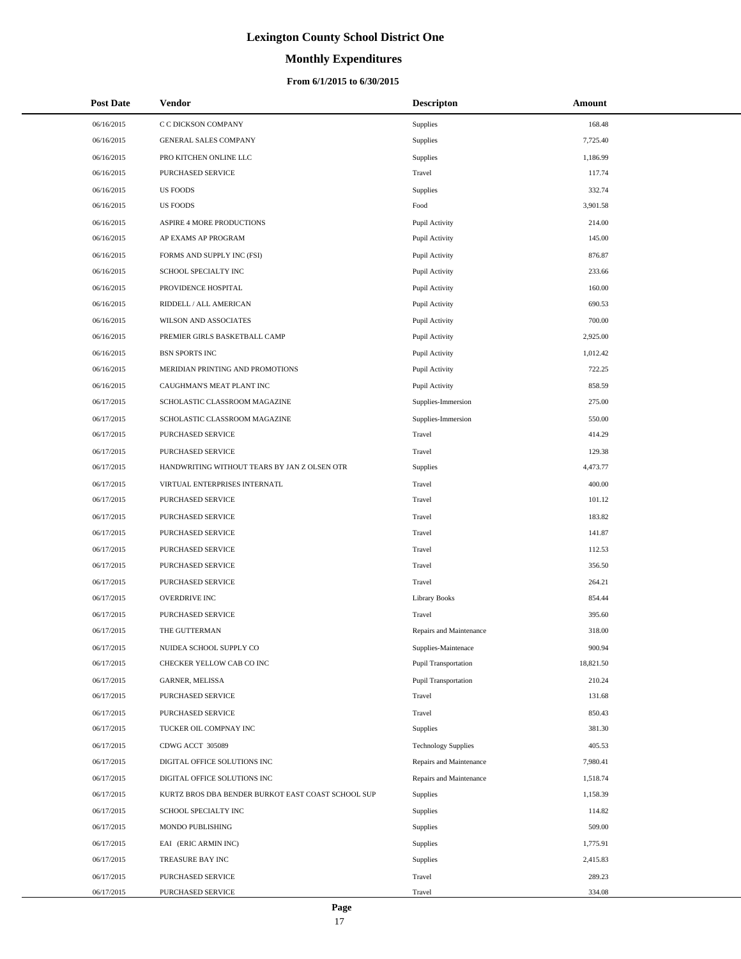# **Monthly Expenditures**

### **From 6/1/2015 to 6/30/2015**

| <b>Post Date</b> | Vendor                                             | <b>Descripton</b>           | Amount    |
|------------------|----------------------------------------------------|-----------------------------|-----------|
| 06/16/2015       | C C DICKSON COMPANY                                | Supplies                    | 168.48    |
| 06/16/2015       | GENERAL SALES COMPANY                              | Supplies                    | 7,725.40  |
| 06/16/2015       | PRO KITCHEN ONLINE LLC                             | Supplies                    | 1,186.99  |
| 06/16/2015       | PURCHASED SERVICE                                  | Travel                      | 117.74    |
| 06/16/2015       | <b>US FOODS</b>                                    | Supplies                    | 332.74    |
| 06/16/2015       | <b>US FOODS</b>                                    | Food                        | 3,901.58  |
| 06/16/2015       | ASPIRE 4 MORE PRODUCTIONS                          | Pupil Activity              | 214.00    |
| 06/16/2015       | AP EXAMS AP PROGRAM                                | Pupil Activity              | 145.00    |
| 06/16/2015       | FORMS AND SUPPLY INC (FSI)                         | Pupil Activity              | 876.87    |
| 06/16/2015       | SCHOOL SPECIALTY INC                               | Pupil Activity              | 233.66    |
| 06/16/2015       | PROVIDENCE HOSPITAL                                | Pupil Activity              | 160.00    |
| 06/16/2015       | RIDDELL / ALL AMERICAN                             | Pupil Activity              | 690.53    |
| 06/16/2015       | WILSON AND ASSOCIATES                              | Pupil Activity              | 700.00    |
| 06/16/2015       | PREMIER GIRLS BASKETBALL CAMP                      | Pupil Activity              | 2,925.00  |
| 06/16/2015       | <b>BSN SPORTS INC</b>                              | Pupil Activity              | 1,012.42  |
| 06/16/2015       | MERIDIAN PRINTING AND PROMOTIONS                   | Pupil Activity              | 722.25    |
| 06/16/2015       | CAUGHMAN'S MEAT PLANT INC                          | Pupil Activity              | 858.59    |
| 06/17/2015       | SCHOLASTIC CLASSROOM MAGAZINE                      | Supplies-Immersion          | 275.00    |
| 06/17/2015       | SCHOLASTIC CLASSROOM MAGAZINE                      | Supplies-Immersion          | 550.00    |
| 06/17/2015       | PURCHASED SERVICE                                  | Travel                      | 414.29    |
| 06/17/2015       | PURCHASED SERVICE                                  | Travel                      | 129.38    |
| 06/17/2015       | HANDWRITING WITHOUT TEARS BY JAN Z OLSEN OTR       | Supplies                    | 4,473.77  |
| 06/17/2015       | VIRTUAL ENTERPRISES INTERNATL                      | Travel                      | 400.00    |
| 06/17/2015       | PURCHASED SERVICE                                  | Travel                      | 101.12    |
| 06/17/2015       | PURCHASED SERVICE                                  | Travel                      | 183.82    |
| 06/17/2015       | PURCHASED SERVICE                                  | Travel                      | 141.87    |
| 06/17/2015       | PURCHASED SERVICE                                  | Travel                      | 112.53    |
| 06/17/2015       | PURCHASED SERVICE                                  | Travel                      | 356.50    |
| 06/17/2015       | PURCHASED SERVICE                                  | Travel                      | 264.21    |
| 06/17/2015       | <b>OVERDRIVE INC</b>                               | <b>Library Books</b>        | 854.44    |
| 06/17/2015       | PURCHASED SERVICE                                  | Travel                      | 395.60    |
| 06/17/2015       | THE GUTTERMAN                                      | Repairs and Maintenance     | 318.00    |
| 06/17/2015       | NUIDEA SCHOOL SUPPLY CO                            | Supplies-Maintenace         | 900.94    |
| 06/17/2015       | CHECKER YELLOW CAB CO INC                          | <b>Pupil Transportation</b> | 18,821.50 |
| 06/17/2015       | GARNER, MELISSA                                    | <b>Pupil Transportation</b> | 210.24    |
| 06/17/2015       | PURCHASED SERVICE                                  | Travel                      | 131.68    |
| 06/17/2015       | PURCHASED SERVICE                                  | Travel                      | 850.43    |
| 06/17/2015       | TUCKER OIL COMPNAY INC                             | Supplies                    | 381.30    |
| 06/17/2015       | CDWG ACCT 305089                                   | <b>Technology Supplies</b>  | 405.53    |
| 06/17/2015       | DIGITAL OFFICE SOLUTIONS INC                       | Repairs and Maintenance     | 7,980.41  |
| 06/17/2015       | DIGITAL OFFICE SOLUTIONS INC                       | Repairs and Maintenance     | 1,518.74  |
| 06/17/2015       | KURTZ BROS DBA BENDER BURKOT EAST COAST SCHOOL SUP | Supplies                    | 1,158.39  |
| 06/17/2015       | SCHOOL SPECIALTY INC                               | Supplies                    | 114.82    |
| 06/17/2015       | MONDO PUBLISHING                                   | Supplies                    | 509.00    |
| 06/17/2015       | EAI (ERIC ARMIN INC)                               | Supplies                    | 1,775.91  |
| 06/17/2015       | TREASURE BAY INC                                   | Supplies                    | 2,415.83  |
| 06/17/2015       | PURCHASED SERVICE                                  | Travel                      | 289.23    |
| 06/17/2015       | PURCHASED SERVICE                                  | Travel                      | 334.08    |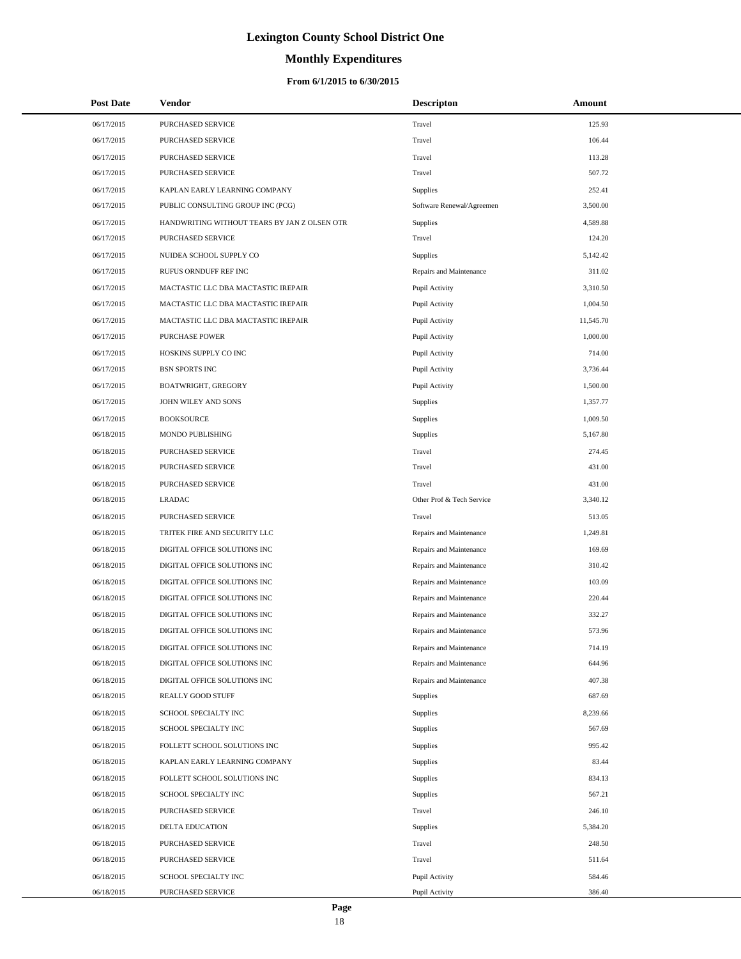# **Monthly Expenditures**

### **From 6/1/2015 to 6/30/2015**

| <b>Post Date</b> | <b>Vendor</b>                                | <b>Descripton</b>         | Amount    |
|------------------|----------------------------------------------|---------------------------|-----------|
| 06/17/2015       | PURCHASED SERVICE                            | Travel                    | 125.93    |
| 06/17/2015       | PURCHASED SERVICE                            | Travel                    | 106.44    |
| 06/17/2015       | PURCHASED SERVICE                            | Travel                    | 113.28    |
| 06/17/2015       | PURCHASED SERVICE                            | Travel                    | 507.72    |
| 06/17/2015       | KAPLAN EARLY LEARNING COMPANY                | Supplies                  | 252.41    |
| 06/17/2015       | PUBLIC CONSULTING GROUP INC (PCG)            | Software Renewal/Agreemen | 3,500.00  |
| 06/17/2015       | HANDWRITING WITHOUT TEARS BY JAN Z OLSEN OTR | Supplies                  | 4,589.88  |
| 06/17/2015       | PURCHASED SERVICE                            | Travel                    | 124.20    |
| 06/17/2015       | NUIDEA SCHOOL SUPPLY CO                      | Supplies                  | 5,142.42  |
| 06/17/2015       | RUFUS ORNDUFF REF INC                        | Repairs and Maintenance   | 311.02    |
| 06/17/2015       | MACTASTIC LLC DBA MACTASTIC IREPAIR          | Pupil Activity            | 3,310.50  |
| 06/17/2015       | MACTASTIC LLC DBA MACTASTIC IREPAIR          | Pupil Activity            | 1,004.50  |
| 06/17/2015       | MACTASTIC LLC DBA MACTASTIC IREPAIR          | Pupil Activity            | 11,545.70 |
| 06/17/2015       | <b>PURCHASE POWER</b>                        | Pupil Activity            | 1,000.00  |
| 06/17/2015       | HOSKINS SUPPLY CO INC                        | Pupil Activity            | 714.00    |
| 06/17/2015       | <b>BSN SPORTS INC</b>                        | Pupil Activity            | 3,736.44  |
| 06/17/2015       | <b>BOATWRIGHT, GREGORY</b>                   | Pupil Activity            | 1,500.00  |
| 06/17/2015       | JOHN WILEY AND SONS                          | Supplies                  | 1,357.77  |
| 06/17/2015       | <b>BOOKSOURCE</b>                            | Supplies                  | 1,009.50  |
| 06/18/2015       | MONDO PUBLISHING                             | Supplies                  | 5,167.80  |
| 06/18/2015       | PURCHASED SERVICE                            | Travel                    | 274.45    |
| 06/18/2015       | PURCHASED SERVICE                            | Travel                    | 431.00    |
| 06/18/2015       | PURCHASED SERVICE                            | Travel                    | 431.00    |
| 06/18/2015       | <b>LRADAC</b>                                | Other Prof & Tech Service | 3,340.12  |
| 06/18/2015       | PURCHASED SERVICE                            | Travel                    | 513.05    |
| 06/18/2015       | TRITEK FIRE AND SECURITY LLC                 | Repairs and Maintenance   | 1,249.81  |
| 06/18/2015       | DIGITAL OFFICE SOLUTIONS INC                 | Repairs and Maintenance   | 169.69    |
| 06/18/2015       | DIGITAL OFFICE SOLUTIONS INC                 | Repairs and Maintenance   | 310.42    |
| 06/18/2015       | DIGITAL OFFICE SOLUTIONS INC                 | Repairs and Maintenance   | 103.09    |
| 06/18/2015       | DIGITAL OFFICE SOLUTIONS INC                 | Repairs and Maintenance   | 220.44    |
| 06/18/2015       | DIGITAL OFFICE SOLUTIONS INC                 | Repairs and Maintenance   | 332.27    |
| 06/18/2015       | DIGITAL OFFICE SOLUTIONS INC                 | Repairs and Maintenance   | 573.96    |
| 06/18/2015       | DIGITAL OFFICE SOLUTIONS INC                 | Repairs and Maintenance   | 714.19    |
| 06/18/2015       | DIGITAL OFFICE SOLUTIONS INC                 | Repairs and Maintenance   | 644.96    |
| 06/18/2015       | DIGITAL OFFICE SOLUTIONS INC                 | Repairs and Maintenance   | 407.38    |
| 06/18/2015       | REALLY GOOD STUFF                            | Supplies                  | 687.69    |
| 06/18/2015       | SCHOOL SPECIALTY INC                         | Supplies                  | 8,239.66  |
| 06/18/2015       | SCHOOL SPECIALTY INC                         | Supplies                  | 567.69    |
| 06/18/2015       | FOLLETT SCHOOL SOLUTIONS INC                 | Supplies                  | 995.42    |
| 06/18/2015       | KAPLAN EARLY LEARNING COMPANY                | Supplies                  | 83.44     |
| 06/18/2015       | FOLLETT SCHOOL SOLUTIONS INC                 | Supplies                  | 834.13    |
| 06/18/2015       | SCHOOL SPECIALTY INC                         | Supplies                  | 567.21    |
| 06/18/2015       | PURCHASED SERVICE                            | Travel                    | 246.10    |
| 06/18/2015       | DELTA EDUCATION                              | Supplies                  | 5,384.20  |
| 06/18/2015       | PURCHASED SERVICE                            | Travel                    | 248.50    |
| 06/18/2015       | PURCHASED SERVICE                            | Travel                    | 511.64    |
| 06/18/2015       | SCHOOL SPECIALTY INC                         | Pupil Activity            | 584.46    |
| 06/18/2015       | PURCHASED SERVICE                            | Pupil Activity            | 386.40    |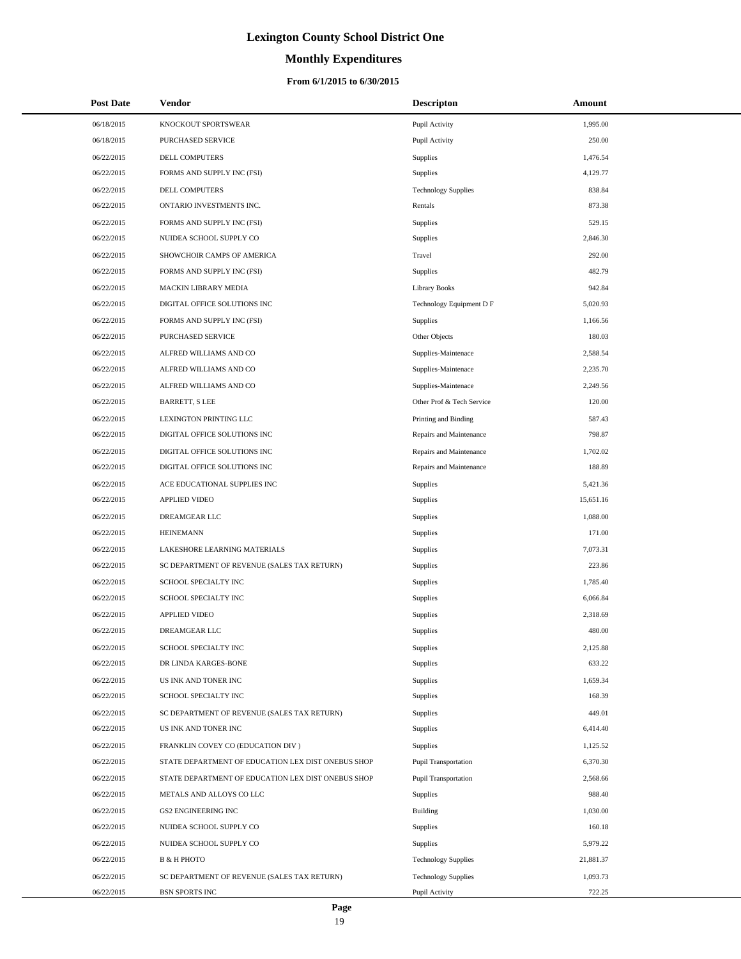# **Monthly Expenditures**

| <b>Post Date</b> | Vendor                                             | <b>Descripton</b>          | Amount    |
|------------------|----------------------------------------------------|----------------------------|-----------|
| 06/18/2015       | KNOCKOUT SPORTSWEAR                                | Pupil Activity             | 1,995.00  |
| 06/18/2015       | PURCHASED SERVICE                                  | Pupil Activity             | 250.00    |
| 06/22/2015       | DELL COMPUTERS                                     | Supplies                   | 1,476.54  |
| 06/22/2015       | FORMS AND SUPPLY INC (FSI)                         | Supplies                   | 4,129.77  |
| 06/22/2015       | DELL COMPUTERS                                     | <b>Technology Supplies</b> | 838.84    |
| 06/22/2015       | ONTARIO INVESTMENTS INC.                           | Rentals                    | 873.38    |
| 06/22/2015       | FORMS AND SUPPLY INC (FSI)                         | Supplies                   | 529.15    |
| 06/22/2015       | NUIDEA SCHOOL SUPPLY CO                            | Supplies                   | 2,846.30  |
| 06/22/2015       | SHOWCHOIR CAMPS OF AMERICA                         | Travel                     | 292.00    |
| 06/22/2015       | FORMS AND SUPPLY INC (FSI)                         | Supplies                   | 482.79    |
| 06/22/2015       | MACKIN LIBRARY MEDIA                               | Library Books              | 942.84    |
| 06/22/2015       | DIGITAL OFFICE SOLUTIONS INC                       | Technology Equipment D F   | 5,020.93  |
| 06/22/2015       | FORMS AND SUPPLY INC (FSI)                         | Supplies                   | 1,166.56  |
| 06/22/2015       | PURCHASED SERVICE                                  | Other Objects              | 180.03    |
| 06/22/2015       | ALFRED WILLIAMS AND CO                             | Supplies-Maintenace        | 2,588.54  |
| 06/22/2015       | ALFRED WILLIAMS AND CO                             | Supplies-Maintenace        | 2,235.70  |
| 06/22/2015       | ALFRED WILLIAMS AND CO                             | Supplies-Maintenace        | 2,249.56  |
| 06/22/2015       | BARRETT, S LEE                                     | Other Prof & Tech Service  | 120.00    |
| 06/22/2015       | LEXINGTON PRINTING LLC                             | Printing and Binding       | 587.43    |
| 06/22/2015       | DIGITAL OFFICE SOLUTIONS INC                       | Repairs and Maintenance    | 798.87    |
| 06/22/2015       | DIGITAL OFFICE SOLUTIONS INC                       | Repairs and Maintenance    | 1,702.02  |
| 06/22/2015       | DIGITAL OFFICE SOLUTIONS INC                       | Repairs and Maintenance    | 188.89    |
| 06/22/2015       | ACE EDUCATIONAL SUPPLIES INC                       | <b>Supplies</b>            | 5,421.36  |
| 06/22/2015       | <b>APPLIED VIDEO</b>                               | Supplies                   | 15,651.16 |
| 06/22/2015       | DREAMGEAR LLC                                      | Supplies                   | 1,088.00  |
| 06/22/2015       | <b>HEINEMANN</b>                                   | Supplies                   | 171.00    |
| 06/22/2015       | LAKESHORE LEARNING MATERIALS                       | Supplies                   | 7,073.31  |
| 06/22/2015       | SC DEPARTMENT OF REVENUE (SALES TAX RETURN)        | Supplies                   | 223.86    |
| 06/22/2015       | SCHOOL SPECIALTY INC                               | Supplies                   | 1,785.40  |
| 06/22/2015       | SCHOOL SPECIALTY INC                               | Supplies                   | 6,066.84  |
| 06/22/2015       | APPLIED VIDEO                                      | Supplies                   | 2,318.69  |
| 06/22/2015       | DREAMGEAR LLC                                      | Supplies                   | 480.00    |
| 06/22/2015       | SCHOOL SPECIALTY INC                               | Supplies                   | 2,125.88  |
| 06/22/2015       | DR LINDA KARGES-BONE                               | Supplies                   | 633.22    |
| 06/22/2015       | US INK AND TONER INC                               | Supplies                   | 1,659.34  |
| 06/22/2015       | SCHOOL SPECIALTY INC                               | Supplies                   | 168.39    |
| 06/22/2015       | SC DEPARTMENT OF REVENUE (SALES TAX RETURN)        | Supplies                   | 449.01    |
| 06/22/2015       | US INK AND TONER INC                               | Supplies                   | 6,414.40  |
| 06/22/2015       | FRANKLIN COVEY CO (EDUCATION DIV)                  | Supplies                   | 1,125.52  |
| 06/22/2015       | STATE DEPARTMENT OF EDUCATION LEX DIST ONEBUS SHOP | Pupil Transportation       | 6,370.30  |
| 06/22/2015       | STATE DEPARTMENT OF EDUCATION LEX DIST ONEBUS SHOP | Pupil Transportation       | 2,568.66  |
| 06/22/2015       | METALS AND ALLOYS CO LLC                           | Supplies                   | 988.40    |
| 06/22/2015       | <b>GS2 ENGINEERING INC</b>                         | Building                   | 1,030.00  |
| 06/22/2015       | NUIDEA SCHOOL SUPPLY CO                            | Supplies                   | 160.18    |
| 06/22/2015       | NUIDEA SCHOOL SUPPLY CO                            | Supplies                   | 5,979.22  |
| 06/22/2015       | <b>B &amp; H PHOTO</b>                             | <b>Technology Supplies</b> | 21,881.37 |
| 06/22/2015       | SC DEPARTMENT OF REVENUE (SALES TAX RETURN)        | <b>Technology Supplies</b> | 1,093.73  |
| 06/22/2015       | <b>BSN SPORTS INC</b>                              | Pupil Activity             | 722.25    |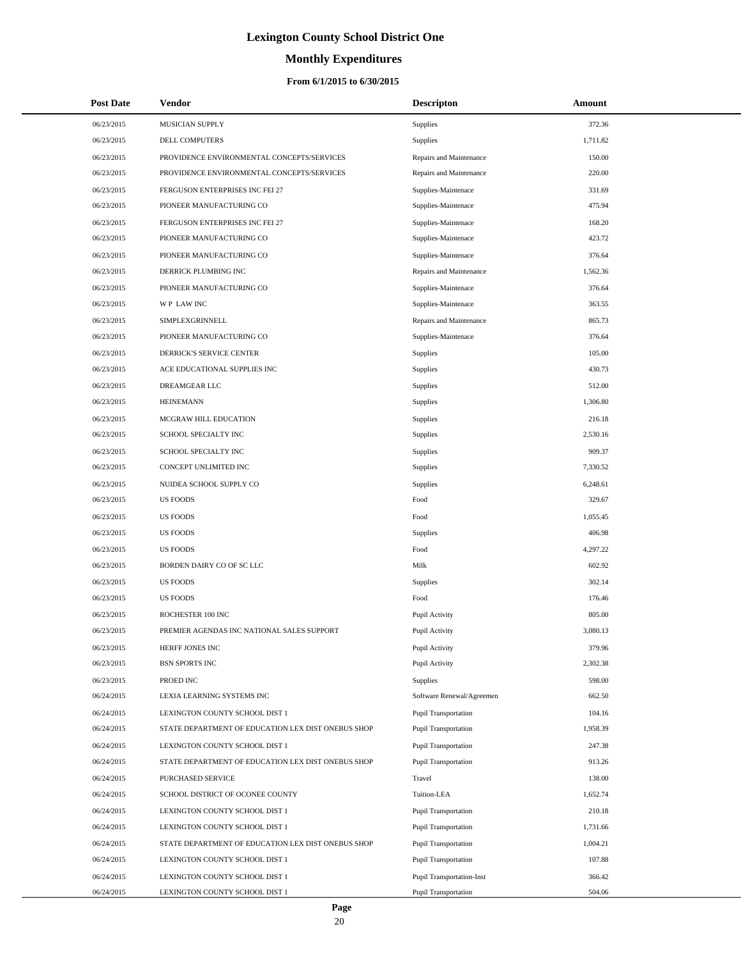# **Monthly Expenditures**

### **From 6/1/2015 to 6/30/2015**

| <b>Post Date</b> | <b>Vendor</b>                                      | <b>Descripton</b>                | Amount   |
|------------------|----------------------------------------------------|----------------------------------|----------|
| 06/23/2015       | MUSICIAN SUPPLY                                    | Supplies                         | 372.36   |
| 06/23/2015       | DELL COMPUTERS                                     | Supplies                         | 1,711.82 |
| 06/23/2015       | PROVIDENCE ENVIRONMENTAL CONCEPTS/SERVICES         | Repairs and Maintenance          | 150.00   |
| 06/23/2015       | PROVIDENCE ENVIRONMENTAL CONCEPTS/SERVICES         | Repairs and Maintenance          | 220.00   |
| 06/23/2015       | FERGUSON ENTERPRISES INC FEI 27                    | Supplies-Maintenace              | 331.69   |
| 06/23/2015       | PIONEER MANUFACTURING CO                           | Supplies-Maintenace              | 475.94   |
| 06/23/2015       | FERGUSON ENTERPRISES INC FEI 27                    | Supplies-Maintenace              | 168.20   |
| 06/23/2015       | PIONEER MANUFACTURING CO                           | Supplies-Maintenace              | 423.72   |
| 06/23/2015       | PIONEER MANUFACTURING CO                           | Supplies-Maintenace              | 376.64   |
| 06/23/2015       | DERRICK PLUMBING INC                               | Repairs and Maintenance          | 1,562.36 |
| 06/23/2015       | PIONEER MANUFACTURING CO                           | Supplies-Maintenace              | 376.64   |
| 06/23/2015       | WP LAW INC                                         | Supplies-Maintenace              | 363.55   |
| 06/23/2015       | SIMPLEXGRINNELL                                    | Repairs and Maintenance          | 865.73   |
| 06/23/2015       | PIONEER MANUFACTURING CO                           | Supplies-Maintenace              | 376.64   |
| 06/23/2015       | DERRICK'S SERVICE CENTER                           | Supplies                         | 105.00   |
| 06/23/2015       | ACE EDUCATIONAL SUPPLIES INC                       | Supplies                         | 430.73   |
| 06/23/2015       | DREAMGEAR LLC                                      | Supplies                         | 512.00   |
| 06/23/2015       | <b>HEINEMANN</b>                                   | Supplies                         | 1,306.80 |
| 06/23/2015       | MCGRAW HILL EDUCATION                              | Supplies                         | 216.18   |
| 06/23/2015       | SCHOOL SPECIALTY INC                               | Supplies                         | 2,530.16 |
| 06/23/2015       | SCHOOL SPECIALTY INC                               | Supplies                         | 909.37   |
| 06/23/2015       | CONCEPT UNLIMITED INC                              | Supplies                         | 7,330.52 |
| 06/23/2015       | NUIDEA SCHOOL SUPPLY CO                            | Supplies                         | 6,248.61 |
| 06/23/2015       | <b>US FOODS</b>                                    | Food                             | 329.67   |
| 06/23/2015       | <b>US FOODS</b>                                    | Food                             | 1,055.45 |
| 06/23/2015       | <b>US FOODS</b>                                    | Supplies                         | 406.98   |
| 06/23/2015       | <b>US FOODS</b>                                    | Food                             | 4,297.22 |
| 06/23/2015       | BORDEN DAIRY CO OF SC LLC                          | Milk                             | 602.92   |
| 06/23/2015       | <b>US FOODS</b>                                    | Supplies                         | 302.14   |
| 06/23/2015       | <b>US FOODS</b>                                    | Food                             | 176.46   |
| 06/23/2015       | ROCHESTER 100 INC                                  | Pupil Activity                   | 805.00   |
| 06/23/2015       | PREMIER AGENDAS INC NATIONAL SALES SUPPORT         | Pupil Activity                   | 3.080.13 |
| 06/23/2015       | HERFF JONES INC                                    | Pupil Activity                   | 379.96   |
| 06/23/2015       | <b>BSN SPORTS INC</b>                              | Pupil Activity                   | 2,302.38 |
| 06/23/2015       | PROED INC                                          | Supplies                         | 598.00   |
| 06/24/2015       | LEXIA LEARNING SYSTEMS INC                         | Software Renewal/Agreemen        | 662.50   |
| 06/24/2015       | LEXINGTON COUNTY SCHOOL DIST 1                     | <b>Pupil Transportation</b>      | 104.16   |
| 06/24/2015       | STATE DEPARTMENT OF EDUCATION LEX DIST ONEBUS SHOP | <b>Pupil Transportation</b>      | 1,958.39 |
| 06/24/2015       | LEXINGTON COUNTY SCHOOL DIST 1                     | <b>Pupil Transportation</b>      | 247.38   |
| 06/24/2015       | STATE DEPARTMENT OF EDUCATION LEX DIST ONEBUS SHOP | Pupil Transportation             | 913.26   |
| 06/24/2015       | PURCHASED SERVICE                                  | Travel                           | 138.00   |
| 06/24/2015       | SCHOOL DISTRICT OF OCONEE COUNTY                   | Tuition-LEA                      | 1,652.74 |
| 06/24/2015       | LEXINGTON COUNTY SCHOOL DIST 1                     | Pupil Transportation             | 210.18   |
| 06/24/2015       | LEXINGTON COUNTY SCHOOL DIST 1                     | Pupil Transportation             | 1,731.66 |
| 06/24/2015       | STATE DEPARTMENT OF EDUCATION LEX DIST ONEBUS SHOP | Pupil Transportation             | 1,004.21 |
| 06/24/2015       | LEXINGTON COUNTY SCHOOL DIST 1                     | Pupil Transportation             | 107.88   |
| 06/24/2015       | LEXINGTON COUNTY SCHOOL DIST 1                     | <b>Pupil Transportation-Inst</b> | 366.42   |
| 06/24/2015       | LEXINGTON COUNTY SCHOOL DIST 1                     | Pupil Transportation             | 504.06   |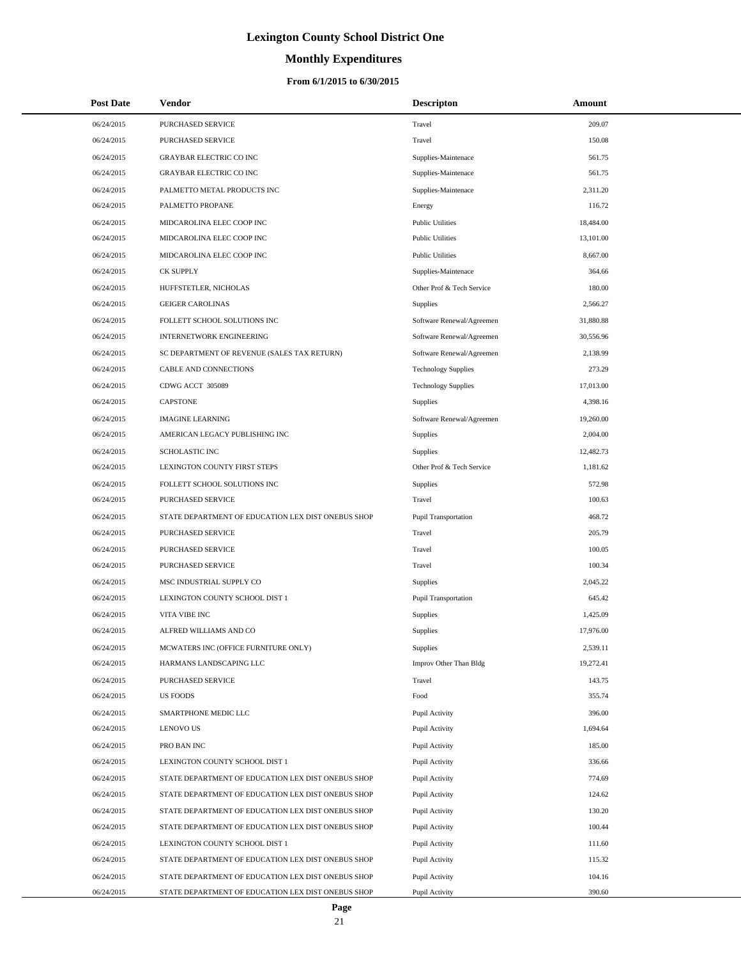# **Monthly Expenditures**

| <b>Post Date</b>         | <b>Vendor</b>                                                                                            | <b>Descripton</b>                | Amount           |
|--------------------------|----------------------------------------------------------------------------------------------------------|----------------------------------|------------------|
| 06/24/2015               | PURCHASED SERVICE                                                                                        | Travel                           | 209.07           |
| 06/24/2015               | PURCHASED SERVICE                                                                                        | Travel                           | 150.08           |
| 06/24/2015               | <b>GRAYBAR ELECTRIC CO INC</b>                                                                           | Supplies-Maintenace              | 561.75           |
| 06/24/2015               | <b>GRAYBAR ELECTRIC CO INC</b>                                                                           | Supplies-Maintenace              | 561.75           |
| 06/24/2015               | PALMETTO METAL PRODUCTS INC                                                                              | Supplies-Maintenace              | 2,311.20         |
| 06/24/2015               | PALMETTO PROPANE                                                                                         | Energy                           | 116.72           |
| 06/24/2015               | MIDCAROLINA ELEC COOP INC                                                                                | <b>Public Utilities</b>          | 18,484.00        |
| 06/24/2015               | MIDCAROLINA ELEC COOP INC                                                                                | <b>Public Utilities</b>          | 13,101.00        |
| 06/24/2015               | MIDCAROLINA ELEC COOP INC                                                                                | <b>Public Utilities</b>          | 8,667.00         |
| 06/24/2015               | <b>CK SUPPLY</b>                                                                                         | Supplies-Maintenace              | 364.66           |
| 06/24/2015               | HUFFSTETLER, NICHOLAS                                                                                    | Other Prof & Tech Service        | 180.00           |
| 06/24/2015               | <b>GEIGER CAROLINAS</b>                                                                                  | Supplies                         | 2,566.27         |
| 06/24/2015               | FOLLETT SCHOOL SOLUTIONS INC                                                                             | Software Renewal/Agreemen        | 31,880.88        |
| 06/24/2015               | <b>INTERNETWORK ENGINEERING</b>                                                                          | Software Renewal/Agreemen        | 30,556.96        |
| 06/24/2015               | SC DEPARTMENT OF REVENUE (SALES TAX RETURN)                                                              | Software Renewal/Agreemen        | 2,138.99         |
| 06/24/2015               | CABLE AND CONNECTIONS                                                                                    | <b>Technology Supplies</b>       | 273.29           |
| 06/24/2015               | CDWG ACCT 305089                                                                                         | <b>Technology Supplies</b>       | 17,013.00        |
| 06/24/2015               | <b>CAPSTONE</b>                                                                                          | Supplies                         | 4,398.16         |
| 06/24/2015               | <b>IMAGINE LEARNING</b>                                                                                  | Software Renewal/Agreemen        | 19,260.00        |
| 06/24/2015               | AMERICAN LEGACY PUBLISHING INC                                                                           | Supplies                         | 2,004.00         |
| 06/24/2015               | <b>SCHOLASTIC INC</b>                                                                                    | Supplies                         | 12,482.73        |
| 06/24/2015               | LEXINGTON COUNTY FIRST STEPS                                                                             | Other Prof & Tech Service        | 1,181.62         |
| 06/24/2015               | FOLLETT SCHOOL SOLUTIONS INC                                                                             | Supplies                         | 572.98           |
| 06/24/2015               | PURCHASED SERVICE                                                                                        | Travel                           | 100.63           |
| 06/24/2015               | STATE DEPARTMENT OF EDUCATION LEX DIST ONEBUS SHOP                                                       | Pupil Transportation             | 468.72           |
| 06/24/2015               | PURCHASED SERVICE                                                                                        | Travel                           | 205.79           |
| 06/24/2015               | PURCHASED SERVICE                                                                                        | Travel                           | 100.05           |
| 06/24/2015               | PURCHASED SERVICE                                                                                        | Travel                           | 100.34           |
| 06/24/2015               | MSC INDUSTRIAL SUPPLY CO                                                                                 | Supplies                         | 2,045.22         |
| 06/24/2015               | LEXINGTON COUNTY SCHOOL DIST 1                                                                           | Pupil Transportation             | 645.42           |
| 06/24/2015               | VITA VIBE INC                                                                                            | Supplies                         | 1,425.09         |
| 06/24/2015               | ALFRED WILLIAMS AND CO                                                                                   | Supplies                         | 17,976.00        |
| 06/24/2015               | MCWATERS INC (OFFICE FURNITURE ONLY)                                                                     | Supplies                         | 2,539.11         |
| 06/24/2015               | HARMANS LANDSCAPING LLC                                                                                  | Improv Other Than Bldg           | 19,272.41        |
| 06/24/2015               | PURCHASED SERVICE                                                                                        | Travel                           | 143.75           |
| 06/24/2015               | US FOODS                                                                                                 | Food                             | 355.74           |
| 06/24/2015               | SMARTPHONE MEDIC LLC                                                                                     | Pupil Activity                   | 396.00           |
| 06/24/2015               | <b>LENOVO US</b>                                                                                         | Pupil Activity                   | 1,694.64         |
| 06/24/2015               | PRO BAN INC                                                                                              | Pupil Activity                   | 185.00           |
| 06/24/2015               | LEXINGTON COUNTY SCHOOL DIST 1                                                                           | Pupil Activity                   | 336.66           |
| 06/24/2015               | STATE DEPARTMENT OF EDUCATION LEX DIST ONEBUS SHOP                                                       | Pupil Activity                   | 774.69           |
| 06/24/2015               | STATE DEPARTMENT OF EDUCATION LEX DIST ONEBUS SHOP                                                       | Pupil Activity                   | 124.62           |
| 06/24/2015               | STATE DEPARTMENT OF EDUCATION LEX DIST ONEBUS SHOP                                                       | Pupil Activity                   | 130.20           |
| 06/24/2015               | STATE DEPARTMENT OF EDUCATION LEX DIST ONEBUS SHOP                                                       | Pupil Activity                   | 100.44           |
| 06/24/2015               | LEXINGTON COUNTY SCHOOL DIST 1                                                                           | Pupil Activity                   | 111.60           |
| 06/24/2015               | STATE DEPARTMENT OF EDUCATION LEX DIST ONEBUS SHOP<br>STATE DEPARTMENT OF EDUCATION LEX DIST ONEBUS SHOP | Pupil Activity                   | 115.32           |
| 06/24/2015<br>06/24/2015 | STATE DEPARTMENT OF EDUCATION LEX DIST ONEBUS SHOP                                                       | Pupil Activity<br>Pupil Activity | 104.16<br>390.60 |
|                          |                                                                                                          |                                  |                  |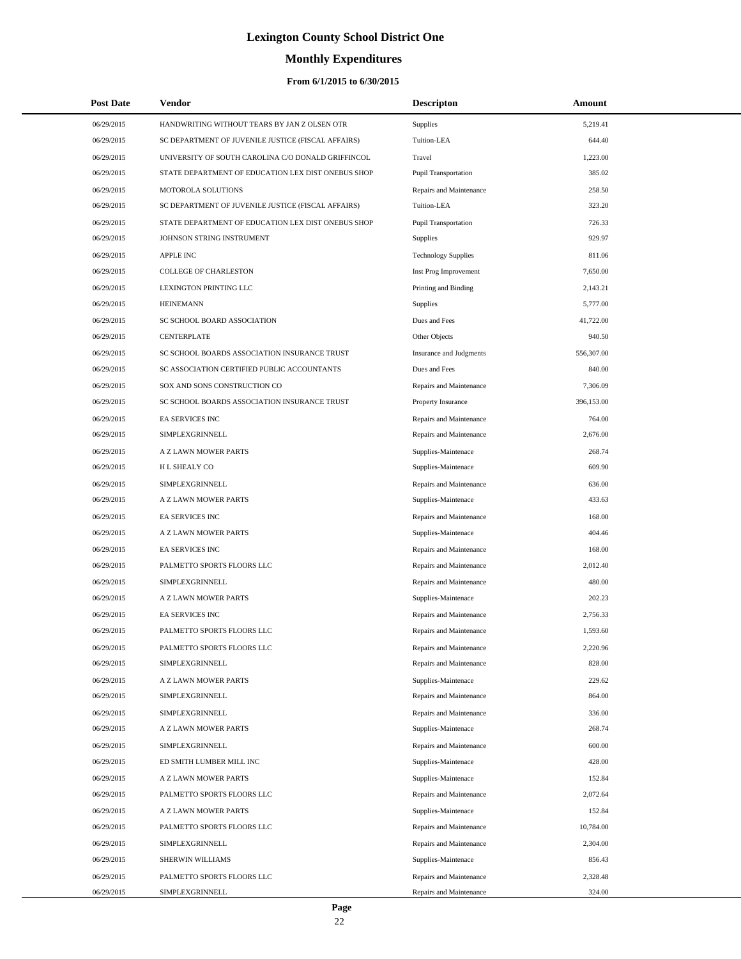# **Monthly Expenditures**

### **From 6/1/2015 to 6/30/2015**

| <b>Post Date</b> | <b>Vendor</b>                                      | <b>Descripton</b>              | Amount     |  |
|------------------|----------------------------------------------------|--------------------------------|------------|--|
| 06/29/2015       | HANDWRITING WITHOUT TEARS BY JAN Z OLSEN OTR       | Supplies                       | 5,219.41   |  |
| 06/29/2015       | SC DEPARTMENT OF JUVENILE JUSTICE (FISCAL AFFAIRS) | Tuition-LEA                    | 644.40     |  |
| 06/29/2015       | UNIVERSITY OF SOUTH CAROLINA C/O DONALD GRIFFINCOL | Travel                         | 1,223.00   |  |
| 06/29/2015       | STATE DEPARTMENT OF EDUCATION LEX DIST ONEBUS SHOP | Pupil Transportation           | 385.02     |  |
| 06/29/2015       | MOTOROLA SOLUTIONS                                 | Repairs and Maintenance        | 258.50     |  |
| 06/29/2015       | SC DEPARTMENT OF JUVENILE JUSTICE (FISCAL AFFAIRS) | Tuition-LEA                    | 323.20     |  |
| 06/29/2015       | STATE DEPARTMENT OF EDUCATION LEX DIST ONEBUS SHOP | <b>Pupil Transportation</b>    | 726.33     |  |
| 06/29/2015       | JOHNSON STRING INSTRUMENT                          | Supplies                       | 929.97     |  |
| 06/29/2015       | <b>APPLE INC</b>                                   | <b>Technology Supplies</b>     | 811.06     |  |
| 06/29/2015       | <b>COLLEGE OF CHARLESTON</b>                       | Inst Prog Improvement          | 7,650.00   |  |
| 06/29/2015       | LEXINGTON PRINTING LLC                             | Printing and Binding           | 2,143.21   |  |
| 06/29/2015       | <b>HEINEMANN</b>                                   | Supplies                       | 5,777.00   |  |
| 06/29/2015       | SC SCHOOL BOARD ASSOCIATION                        | Dues and Fees                  | 41,722.00  |  |
| 06/29/2015       | <b>CENTERPLATE</b>                                 | Other Objects                  | 940.50     |  |
| 06/29/2015       | SC SCHOOL BOARDS ASSOCIATION INSURANCE TRUST       | <b>Insurance and Judgments</b> | 556,307.00 |  |
| 06/29/2015       | SC ASSOCIATION CERTIFIED PUBLIC ACCOUNTANTS        | Dues and Fees                  | 840.00     |  |
| 06/29/2015       | SOX AND SONS CONSTRUCTION CO                       | Repairs and Maintenance        | 7,306.09   |  |
| 06/29/2015       | SC SCHOOL BOARDS ASSOCIATION INSURANCE TRUST       | Property Insurance             | 396,153.00 |  |
| 06/29/2015       | <b>EA SERVICES INC</b>                             | Repairs and Maintenance        | 764.00     |  |
| 06/29/2015       | SIMPLEXGRINNELL                                    | Repairs and Maintenance        | 2,676.00   |  |
| 06/29/2015       | A Z LAWN MOWER PARTS                               | Supplies-Maintenace            | 268.74     |  |
| 06/29/2015       | H L SHEALY CO                                      | Supplies-Maintenace            | 609.90     |  |
| 06/29/2015       | SIMPLEXGRINNELL                                    | Repairs and Maintenance        | 636.00     |  |
| 06/29/2015       | A Z LAWN MOWER PARTS                               | Supplies-Maintenace            | 433.63     |  |
| 06/29/2015       | EA SERVICES INC                                    | Repairs and Maintenance        | 168.00     |  |
| 06/29/2015       | A Z LAWN MOWER PARTS                               | Supplies-Maintenace            | 404.46     |  |
| 06/29/2015       | EA SERVICES INC                                    | Repairs and Maintenance        | 168.00     |  |
| 06/29/2015       | PALMETTO SPORTS FLOORS LLC                         | Repairs and Maintenance        | 2,012.40   |  |
| 06/29/2015       | SIMPLEXGRINNELL                                    | Repairs and Maintenance        | 480.00     |  |
| 06/29/2015       | A Z LAWN MOWER PARTS                               | Supplies-Maintenace            | 202.23     |  |
| 06/29/2015       | EA SERVICES INC                                    | Repairs and Maintenance        | 2,756.33   |  |
| 06/29/2015       | PALMETTO SPORTS FLOORS LLC                         | Repairs and Maintenance        | 1,593.60   |  |
| 06/29/2015       | PALMETTO SPORTS FLOORS LLC                         | Repairs and Maintenance        | 2,220.96   |  |
| 06/29/2015       | SIMPLEXGRINNELL                                    | Repairs and Maintenance        | 828.00     |  |
| 06/29/2015       | A Z LAWN MOWER PARTS                               | Supplies-Maintenace            | 229.62     |  |
| 06/29/2015       | SIMPLEXGRINNELL                                    | Repairs and Maintenance        | 864.00     |  |
| 06/29/2015       | SIMPLEXGRINNELL                                    | Repairs and Maintenance        | 336.00     |  |
| 06/29/2015       | A Z LAWN MOWER PARTS                               | Supplies-Maintenace            | 268.74     |  |
| 06/29/2015       | SIMPLEXGRINNELL                                    | Repairs and Maintenance        | 600.00     |  |
| 06/29/2015       | ED SMITH LUMBER MILL INC                           | Supplies-Maintenace            | 428.00     |  |
| 06/29/2015       | A Z LAWN MOWER PARTS                               | Supplies-Maintenace            | 152.84     |  |
| 06/29/2015       | PALMETTO SPORTS FLOORS LLC                         | Repairs and Maintenance        | 2,072.64   |  |
| 06/29/2015       | A Z LAWN MOWER PARTS                               | Supplies-Maintenace            | 152.84     |  |
| 06/29/2015       | PALMETTO SPORTS FLOORS LLC                         | Repairs and Maintenance        | 10,784.00  |  |
| 06/29/2015       | SIMPLEXGRINNELL                                    | Repairs and Maintenance        | 2,304.00   |  |
| 06/29/2015       | SHERWIN WILLIAMS                                   | Supplies-Maintenace            | 856.43     |  |
| 06/29/2015       | PALMETTO SPORTS FLOORS LLC                         | Repairs and Maintenance        | 2,328.48   |  |
| 06/29/2015       | SIMPLEXGRINNELL                                    | Repairs and Maintenance        | 324.00     |  |

 $\overline{a}$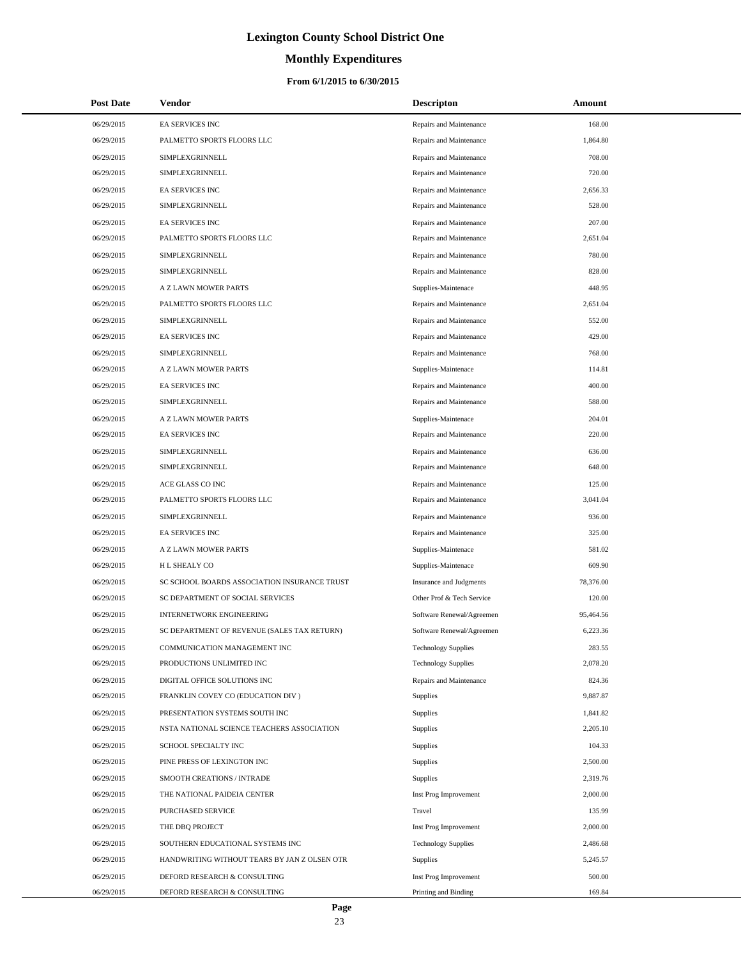# **Monthly Expenditures**

### **From 6/1/2015 to 6/30/2015**

| <b>Post Date</b> | Vendor                                       | <b>Descripton</b>              | Amount    |
|------------------|----------------------------------------------|--------------------------------|-----------|
| 06/29/2015       | EA SERVICES INC                              | Repairs and Maintenance        | 168.00    |
| 06/29/2015       | PALMETTO SPORTS FLOORS LLC                   | Repairs and Maintenance        | 1,864.80  |
| 06/29/2015       | SIMPLEXGRINNELL                              | Repairs and Maintenance        | 708.00    |
| 06/29/2015       | SIMPLEXGRINNELL                              | Repairs and Maintenance        | 720.00    |
| 06/29/2015       | EA SERVICES INC                              | Repairs and Maintenance        | 2,656.33  |
| 06/29/2015       | SIMPLEXGRINNELL                              | Repairs and Maintenance        | 528.00    |
| 06/29/2015       | <b>EA SERVICES INC</b>                       | Repairs and Maintenance        | 207.00    |
| 06/29/2015       | PALMETTO SPORTS FLOORS LLC                   | Repairs and Maintenance        | 2,651.04  |
| 06/29/2015       | SIMPLEXGRINNELL                              | Repairs and Maintenance        | 780.00    |
| 06/29/2015       | SIMPLEXGRINNELL                              | Repairs and Maintenance        | 828.00    |
| 06/29/2015       | A Z LAWN MOWER PARTS                         | Supplies-Maintenace            | 448.95    |
| 06/29/2015       | PALMETTO SPORTS FLOORS LLC                   | Repairs and Maintenance        | 2,651.04  |
| 06/29/2015       | SIMPLEXGRINNELL                              | Repairs and Maintenance        | 552.00    |
| 06/29/2015       | <b>EA SERVICES INC</b>                       | Repairs and Maintenance        | 429.00    |
| 06/29/2015       | SIMPLEXGRINNELL                              | Repairs and Maintenance        | 768.00    |
| 06/29/2015       | A Z LAWN MOWER PARTS                         | Supplies-Maintenace            | 114.81    |
| 06/29/2015       | EA SERVICES INC                              | Repairs and Maintenance        | 400.00    |
| 06/29/2015       | SIMPLEXGRINNELL                              | Repairs and Maintenance        | 588.00    |
| 06/29/2015       | A Z LAWN MOWER PARTS                         | Supplies-Maintenace            | 204.01    |
| 06/29/2015       | <b>EA SERVICES INC</b>                       | Repairs and Maintenance        | 220.00    |
| 06/29/2015       | SIMPLEXGRINNELL                              | Repairs and Maintenance        | 636.00    |
| 06/29/2015       | SIMPLEXGRINNELL                              | Repairs and Maintenance        | 648.00    |
| 06/29/2015       | ACE GLASS CO INC                             | Repairs and Maintenance        | 125.00    |
| 06/29/2015       | PALMETTO SPORTS FLOORS LLC                   | Repairs and Maintenance        | 3,041.04  |
| 06/29/2015       | SIMPLEXGRINNELL                              | Repairs and Maintenance        | 936.00    |
| 06/29/2015       | <b>EA SERVICES INC</b>                       | Repairs and Maintenance        | 325.00    |
| 06/29/2015       | A Z LAWN MOWER PARTS                         | Supplies-Maintenace            | 581.02    |
| 06/29/2015       | <b>HL SHEALY CO</b>                          | Supplies-Maintenace            | 609.90    |
| 06/29/2015       | SC SCHOOL BOARDS ASSOCIATION INSURANCE TRUST | <b>Insurance and Judgments</b> | 78,376.00 |
| 06/29/2015       | SC DEPARTMENT OF SOCIAL SERVICES             | Other Prof & Tech Service      | 120.00    |
| 06/29/2015       | <b>INTERNETWORK ENGINEERING</b>              | Software Renewal/Agreemen      | 95,464.56 |
| 06/29/2015       | SC DEPARTMENT OF REVENUE (SALES TAX RETURN)  | Software Renewal/Agreemen      | 6,223.36  |
| 06/29/2015       | COMMUNICATION MANAGEMENT INC                 | <b>Technology Supplies</b>     | 283.55    |
| 06/29/2015       | PRODUCTIONS UNLIMITED INC                    | <b>Technology Supplies</b>     | 2,078.20  |
| 06/29/2015       | DIGITAL OFFICE SOLUTIONS INC                 | Repairs and Maintenance        | 824.36    |
| 06/29/2015       | FRANKLIN COVEY CO (EDUCATION DIV)            | Supplies                       | 9,887.87  |
| 06/29/2015       | PRESENTATION SYSTEMS SOUTH INC               | Supplies                       | 1,841.82  |
| 06/29/2015       | NSTA NATIONAL SCIENCE TEACHERS ASSOCIATION   | Supplies                       | 2,205.10  |
| 06/29/2015       | SCHOOL SPECIALTY INC                         | Supplies                       | 104.33    |
| 06/29/2015       | PINE PRESS OF LEXINGTON INC                  | Supplies                       | 2,500.00  |
| 06/29/2015       | SMOOTH CREATIONS / INTRADE                   | Supplies                       | 2,319.76  |
| 06/29/2015       | THE NATIONAL PAIDEIA CENTER                  | Inst Prog Improvement          | 2,000.00  |
| 06/29/2015       | PURCHASED SERVICE                            | Travel                         | 135.99    |
| 06/29/2015       | THE DBQ PROJECT                              | Inst Prog Improvement          | 2,000.00  |
| 06/29/2015       | SOUTHERN EDUCATIONAL SYSTEMS INC             | <b>Technology Supplies</b>     | 2,486.68  |
| 06/29/2015       | HANDWRITING WITHOUT TEARS BY JAN Z OLSEN OTR | Supplies                       | 5,245.57  |
| 06/29/2015       | DEFORD RESEARCH & CONSULTING                 | Inst Prog Improvement          | 500.00    |
| 06/29/2015       | DEFORD RESEARCH & CONSULTING                 | Printing and Binding           | 169.84    |

 $\overline{a}$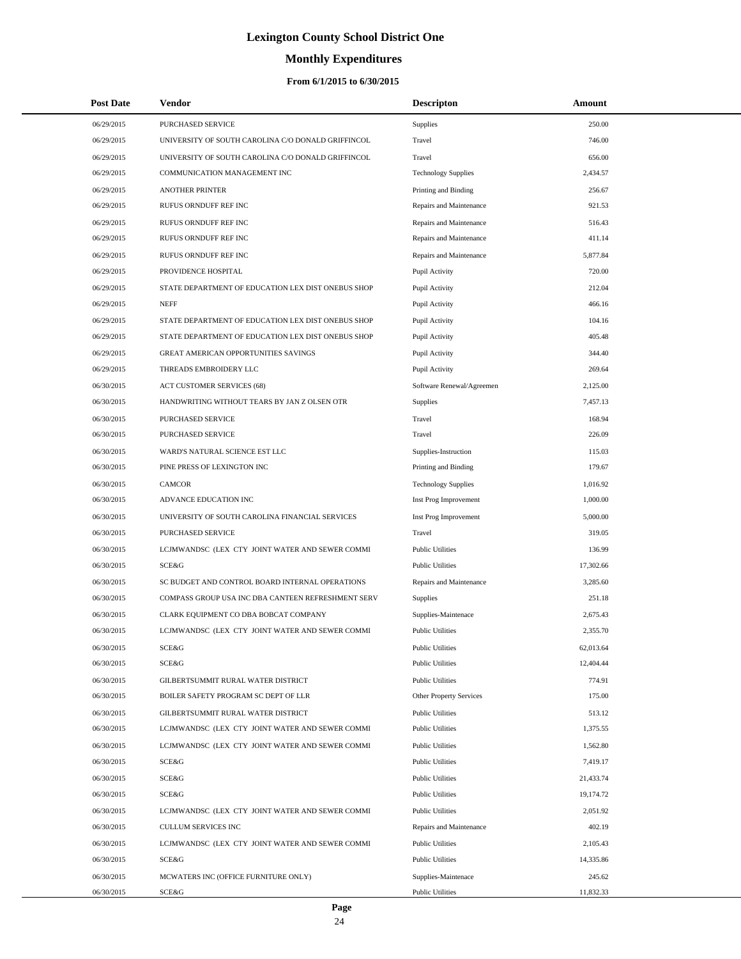# **Monthly Expenditures**

| <b>Post Date</b> | Vendor                                             | <b>Descripton</b>          | Amount    |
|------------------|----------------------------------------------------|----------------------------|-----------|
| 06/29/2015       | PURCHASED SERVICE                                  | Supplies                   | 250.00    |
| 06/29/2015       | UNIVERSITY OF SOUTH CAROLINA C/O DONALD GRIFFINCOL | Travel                     | 746.00    |
| 06/29/2015       | UNIVERSITY OF SOUTH CAROLINA C/O DONALD GRIFFINCOL | Travel                     | 656.00    |
| 06/29/2015       | COMMUNICATION MANAGEMENT INC                       | <b>Technology Supplies</b> | 2,434.57  |
| 06/29/2015       | <b>ANOTHER PRINTER</b>                             | Printing and Binding       | 256.67    |
| 06/29/2015       | RUFUS ORNDUFF REF INC                              | Repairs and Maintenance    | 921.53    |
| 06/29/2015       | RUFUS ORNDUFF REF INC                              | Repairs and Maintenance    | 516.43    |
| 06/29/2015       | RUFUS ORNDUFF REF INC                              | Repairs and Maintenance    | 411.14    |
| 06/29/2015       | RUFUS ORNDUFF REF INC                              | Repairs and Maintenance    | 5,877.84  |
| 06/29/2015       | PROVIDENCE HOSPITAL                                | Pupil Activity             | 720.00    |
| 06/29/2015       | STATE DEPARTMENT OF EDUCATION LEX DIST ONEBUS SHOP | Pupil Activity             | 212.04    |
| 06/29/2015       | <b>NEFF</b>                                        | Pupil Activity             | 466.16    |
| 06/29/2015       | STATE DEPARTMENT OF EDUCATION LEX DIST ONEBUS SHOP | Pupil Activity             | 104.16    |
| 06/29/2015       | STATE DEPARTMENT OF EDUCATION LEX DIST ONEBUS SHOP | Pupil Activity             | 405.48    |
| 06/29/2015       | GREAT AMERICAN OPPORTUNITIES SAVINGS               | Pupil Activity             | 344.40    |
| 06/29/2015       | THREADS EMBROIDERY LLC                             | Pupil Activity             | 269.64    |
| 06/30/2015       | <b>ACT CUSTOMER SERVICES (68)</b>                  | Software Renewal/Agreemen  | 2,125.00  |
| 06/30/2015       | HANDWRITING WITHOUT TEARS BY JAN Z OLSEN OTR       | Supplies                   | 7,457.13  |
| 06/30/2015       | PURCHASED SERVICE                                  | Travel                     | 168.94    |
| 06/30/2015       | PURCHASED SERVICE                                  | Travel                     | 226.09    |
| 06/30/2015       | WARD'S NATURAL SCIENCE EST LLC                     | Supplies-Instruction       | 115.03    |
| 06/30/2015       | PINE PRESS OF LEXINGTON INC                        | Printing and Binding       | 179.67    |
| 06/30/2015       | <b>CAMCOR</b>                                      | <b>Technology Supplies</b> | 1,016.92  |
| 06/30/2015       | ADVANCE EDUCATION INC                              | Inst Prog Improvement      | 1,000.00  |
| 06/30/2015       | UNIVERSITY OF SOUTH CAROLINA FINANCIAL SERVICES    | Inst Prog Improvement      | 5,000.00  |
| 06/30/2015       | PURCHASED SERVICE                                  | Travel                     | 319.05    |
| 06/30/2015       | LCJMWANDSC (LEX CTY JOINT WATER AND SEWER COMMI    | <b>Public Utilities</b>    | 136.99    |
| 06/30/2015       | <b>SCE&amp;G</b>                                   | <b>Public Utilities</b>    | 17,302.66 |
| 06/30/2015       | SC BUDGET AND CONTROL BOARD INTERNAL OPERATIONS    | Repairs and Maintenance    | 3,285.60  |
| 06/30/2015       | COMPASS GROUP USA INC DBA CANTEEN REFRESHMENT SERV | Supplies                   | 251.18    |
| 06/30/2015       | CLARK EQUIPMENT CO DBA BOBCAT COMPANY              | Supplies-Maintenace        | 2,675.43  |
| 06/30/2015       | LCJMWANDSC (LEX CTY JOINT WATER AND SEWER COMMI    | <b>Public Utilities</b>    | 2,355.70  |
| 06/30/2015       | SCE&G                                              | <b>Public Utilities</b>    | 62,013.64 |
| 06/30/2015       | SCE&G                                              | <b>Public Utilities</b>    | 12,404.44 |
| 06/30/2015       | GILBERTSUMMIT RURAL WATER DISTRICT                 | <b>Public Utilities</b>    | 774.91    |
| 06/30/2015       | BOILER SAFETY PROGRAM SC DEPT OF LLR               | Other Property Services    | 175.00    |
| 06/30/2015       | GILBERTSUMMIT RURAL WATER DISTRICT                 | <b>Public Utilities</b>    | 513.12    |
| 06/30/2015       | LCJMWANDSC (LEX CTY JOINT WATER AND SEWER COMMI    | <b>Public Utilities</b>    | 1,375.55  |
| 06/30/2015       | LCJMWANDSC (LEX CTY JOINT WATER AND SEWER COMMI    | <b>Public Utilities</b>    | 1,562.80  |
| 06/30/2015       | SCE&G                                              | <b>Public Utilities</b>    | 7,419.17  |
| 06/30/2015       | SCE&G                                              | <b>Public Utilities</b>    | 21,433.74 |
| 06/30/2015       | SCE&G                                              | <b>Public Utilities</b>    | 19,174.72 |
| 06/30/2015       | LCJMWANDSC (LEX CTY JOINT WATER AND SEWER COMMI    | <b>Public Utilities</b>    | 2,051.92  |
| 06/30/2015       | CULLUM SERVICES INC                                | Repairs and Maintenance    | 402.19    |
| 06/30/2015       | LCJMWANDSC (LEX CTY JOINT WATER AND SEWER COMMI    | <b>Public Utilities</b>    | 2,105.43  |
| 06/30/2015       | SCE&G                                              | <b>Public Utilities</b>    | 14,335.86 |
| 06/30/2015       | MCWATERS INC (OFFICE FURNITURE ONLY)               | Supplies-Maintenace        | 245.62    |
| 06/30/2015       | SCE&G                                              | <b>Public Utilities</b>    | 11,832.33 |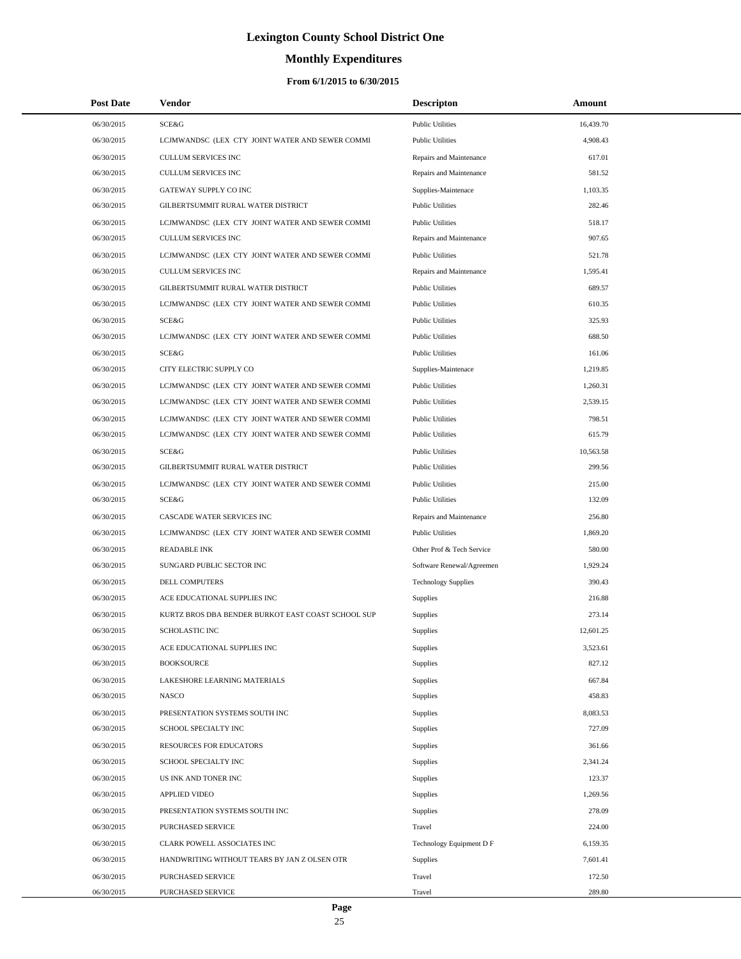# **Monthly Expenditures**

| <b>Post Date</b> | Vendor                                             | <b>Descripton</b>          | Amount    |  |
|------------------|----------------------------------------------------|----------------------------|-----------|--|
| 06/30/2015       | SCE&G                                              | <b>Public Utilities</b>    | 16,439.70 |  |
| 06/30/2015       | LCJMWANDSC (LEX CTY JOINT WATER AND SEWER COMMI    | <b>Public Utilities</b>    | 4,908.43  |  |
| 06/30/2015       | <b>CULLUM SERVICES INC</b>                         | Repairs and Maintenance    | 617.01    |  |
| 06/30/2015       | <b>CULLUM SERVICES INC</b>                         | Repairs and Maintenance    | 581.52    |  |
| 06/30/2015       | GATEWAY SUPPLY CO INC                              | Supplies-Maintenace        | 1,103.35  |  |
| 06/30/2015       | GILBERTSUMMIT RURAL WATER DISTRICT                 | <b>Public Utilities</b>    | 282.46    |  |
| 06/30/2015       | LCJMWANDSC (LEX CTY JOINT WATER AND SEWER COMMI    | <b>Public Utilities</b>    | 518.17    |  |
| 06/30/2015       | <b>CULLUM SERVICES INC</b>                         | Repairs and Maintenance    | 907.65    |  |
| 06/30/2015       | LCJMWANDSC (LEX CTY JOINT WATER AND SEWER COMMI    | <b>Public Utilities</b>    | 521.78    |  |
| 06/30/2015       | <b>CULLUM SERVICES INC</b>                         | Repairs and Maintenance    | 1,595.41  |  |
| 06/30/2015       | GILBERTSUMMIT RURAL WATER DISTRICT                 | <b>Public Utilities</b>    | 689.57    |  |
| 06/30/2015       | LCJMWANDSC (LEX CTY JOINT WATER AND SEWER COMMI    | <b>Public Utilities</b>    | 610.35    |  |
| 06/30/2015       | <b>SCE&amp;G</b>                                   | <b>Public Utilities</b>    | 325.93    |  |
| 06/30/2015       | LCJMWANDSC (LEX CTY JOINT WATER AND SEWER COMMI    | <b>Public Utilities</b>    | 688.50    |  |
| 06/30/2015       | SCE&G                                              | <b>Public Utilities</b>    | 161.06    |  |
| 06/30/2015       | CITY ELECTRIC SUPPLY CO                            | Supplies-Maintenace        | 1,219.85  |  |
| 06/30/2015       | LCJMWANDSC (LEX CTY JOINT WATER AND SEWER COMMI    | <b>Public Utilities</b>    | 1,260.31  |  |
| 06/30/2015       | LCJMWANDSC (LEX CTY JOINT WATER AND SEWER COMMI    | <b>Public Utilities</b>    | 2,539.15  |  |
| 06/30/2015       | LCJMWANDSC (LEX CTY JOINT WATER AND SEWER COMMI    | <b>Public Utilities</b>    | 798.51    |  |
| 06/30/2015       | LCJMWANDSC (LEX CTY JOINT WATER AND SEWER COMMI    | <b>Public Utilities</b>    | 615.79    |  |
| 06/30/2015       | SCE&G                                              | <b>Public Utilities</b>    | 10,563.58 |  |
| 06/30/2015       | GILBERTSUMMIT RURAL WATER DISTRICT                 | <b>Public Utilities</b>    | 299.56    |  |
| 06/30/2015       | LCJMWANDSC (LEX CTY JOINT WATER AND SEWER COMMI    | <b>Public Utilities</b>    | 215.00    |  |
| 06/30/2015       | <b>SCE&amp;G</b>                                   | <b>Public Utilities</b>    | 132.09    |  |
| 06/30/2015       | CASCADE WATER SERVICES INC                         | Repairs and Maintenance    | 256.80    |  |
| 06/30/2015       | LCJMWANDSC (LEX CTY JOINT WATER AND SEWER COMMI    | <b>Public Utilities</b>    | 1,869.20  |  |
| 06/30/2015       | <b>READABLE INK</b>                                | Other Prof & Tech Service  | 580.00    |  |
| 06/30/2015       | SUNGARD PUBLIC SECTOR INC                          | Software Renewal/Agreemen  | 1,929.24  |  |
| 06/30/2015       | DELL COMPUTERS                                     | <b>Technology Supplies</b> | 390.43    |  |
| 06/30/2015       | ACE EDUCATIONAL SUPPLIES INC                       | Supplies                   | 216.88    |  |
| 06/30/2015       | KURTZ BROS DBA BENDER BURKOT EAST COAST SCHOOL SUP | Supplies                   | 273.14    |  |
| 06/30/2015       | <b>SCHOLASTIC INC</b>                              | Supplies                   | 12,601.25 |  |
| 06/30/2015       | ACE EDUCATIONAL SUPPLIES INC                       | Supplies                   | 3,523.61  |  |
| 06/30/2015       | <b>BOOKSOURCE</b>                                  | Supplies                   | 827.12    |  |
| 06/30/2015       | LAKESHORE LEARNING MATERIALS                       | Supplies                   | 667.84    |  |
| 06/30/2015       | <b>NASCO</b>                                       | Supplies                   | 458.83    |  |
| 06/30/2015       | PRESENTATION SYSTEMS SOUTH INC                     | Supplies                   | 8,083.53  |  |
| 06/30/2015       | SCHOOL SPECIALTY INC                               | Supplies                   | 727.09    |  |
| 06/30/2015       | <b>RESOURCES FOR EDUCATORS</b>                     | Supplies                   | 361.66    |  |
| 06/30/2015       | SCHOOL SPECIALTY INC                               | Supplies                   | 2,341.24  |  |
| 06/30/2015       | US INK AND TONER INC                               | Supplies                   | 123.37    |  |
| 06/30/2015       | <b>APPLIED VIDEO</b>                               | Supplies                   | 1,269.56  |  |
| 06/30/2015       | PRESENTATION SYSTEMS SOUTH INC                     | Supplies                   | 278.09    |  |
| 06/30/2015       | PURCHASED SERVICE                                  | Travel                     | 224.00    |  |
| 06/30/2015       | CLARK POWELL ASSOCIATES INC                        | Technology Equipment D F   | 6,159.35  |  |
| 06/30/2015       | HANDWRITING WITHOUT TEARS BY JAN Z OLSEN OTR       | Supplies                   | 7,601.41  |  |
| 06/30/2015       | PURCHASED SERVICE                                  | Travel                     | 172.50    |  |
| 06/30/2015       | PURCHASED SERVICE                                  | Travel                     | 289.80    |  |